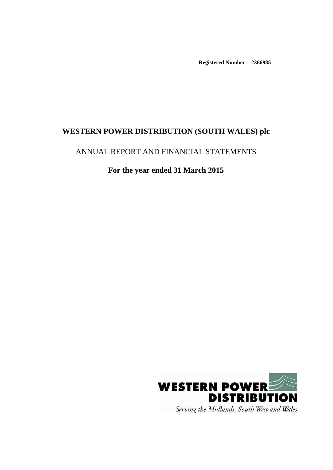**Registered Number: 2366985**

# **WESTERN POWER DISTRIBUTION (SOUTH WALES) plc**

# ANNUAL REPORT AND FINANCIAL STATEMENTS

# **For the year ended 31 March 2015**

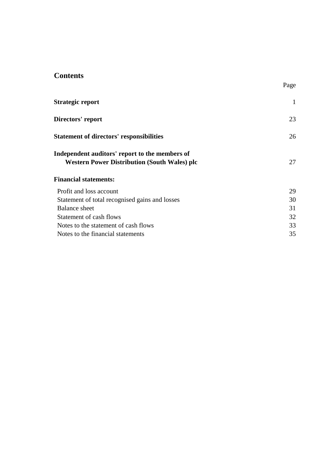# **Contents**

| <b>Strategic report</b>                                                                                                               | 1  |
|---------------------------------------------------------------------------------------------------------------------------------------|----|
| Directors' report                                                                                                                     | 23 |
| <b>Statement of directors' responsibilities</b>                                                                                       | 26 |
| Independent auditors' report to the members of<br><b>Western Power Distribution (South Wales) plc</b><br><b>Financial statements:</b> | 27 |
| Profit and loss account                                                                                                               | 29 |
| Statement of total recognised gains and losses                                                                                        | 30 |
| <b>Balance</b> sheet                                                                                                                  | 31 |
| Statement of cash flows                                                                                                               | 32 |
| Notes to the statement of cash flows                                                                                                  | 33 |
| Notes to the financial statements                                                                                                     | 35 |

Page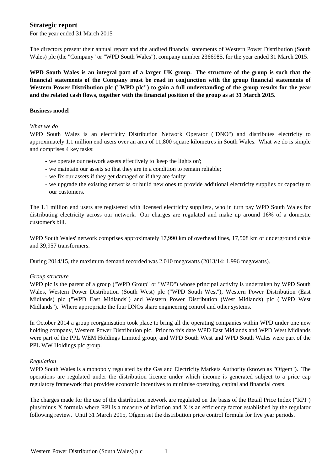### **Strategic report**

For the year ended 31 March 2015

The directors present their annual report and the audited financial statements of Western Power Distribution (South Wales) plc (the "Company" or "WPD South Wales"), company number 2366985, for the year ended 31 March 2015.

WPD South Wales is an integral part of a larger UK group. The structure of the group is such that the **financial statements of the Company must be read in conjunction with the group financial statements of** Western Power Distribution plc ("WPD plc") to gain a full understanding of the group results for the year **and the related cash flows, together with the financial position of the group as at 31 March 2015.**

#### **Business model**

#### *What we do*

WPD South Wales is an electricity Distribution Network Operator ("DNO") and distributes electricity to approximately 1.1 million end users over an area of 11,800 square kilometres in South Wales. What we do is simple and comprises 4 key tasks:

- we operate our network assets effectively to 'keep the lights on';
- we maintain our assets so that they are in a condition to remain reliable;
- we fix our assets if they get damaged or if they are faulty;
- we upgrade the existing networks or build new ones to provide additional electricity supplies or capacity to our customers.

The 1.1 million end users are registered with licensed electricity suppliers, who in turn pay WPD South Wales for distributing electricity across our network. Our charges are regulated and make up around 16% of a domestic customer's bill.

WPD South Wales' network comprises approximately 17,990 km of overhead lines, 17,508 km of underground cable and 39,957 transformers.

During 2014/15, the maximum demand recorded was 2,010 megawatts (2013/14: 1,996 megawatts).

### *Group structure*

WPD plc is the parent of a group ("WPD Group" or "WPD") whose principal activity is undertaken by WPD South Wales, Western Power Distribution (South West) plc ("WPD South West"), Western Power Distribution (East Midlands) plc ("WPD East Midlands") and Western Power Distribution (West Midlands) plc ("WPD West Midlands"). Where appropriate the four DNOs share engineering control and other systems.

In October 2014 a group reorganisation took place to bring all the operating companies within WPD under one new holding company, Western Power Distribution plc. Prior to this date WPD East Midlands and WPD West Midlands were part of the PPL WEM Holdings Limited group, and WPD South West and WPD South Wales were part of the PPL WW Holdings plc group.

### *Regulation*

WPD South Wales is a monopoly regulated by the Gas and Electricity Markets Authority (known as "Ofgem"). The operations are regulated under the distribution licence under which income is generated subject to a price cap regulatory framework that provides economic incentives to minimise operating, capital and financial costs.

The charges made for the use of the distribution network are regulated on the basis of the Retail Price Index ("RPI") plus/minus X formula where RPI is a measure of inflation and X is an efficiency factor established by the regulator following review. Until 31 March 2015, Ofgem set the distribution price control formula for five year periods.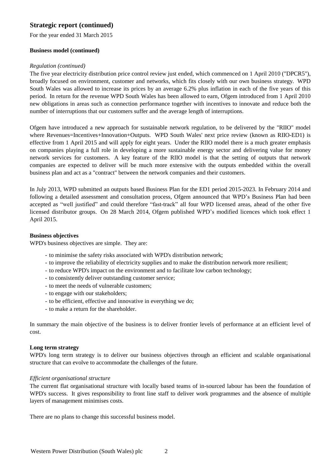For the year ended 31 March 2015

### **Business model (continued)**

### *Regulation (continued)*

The five year electricity distribution price control review just ended, which commenced on 1 April 2010 ("DPCR5"), broadly focused on environment, customer and networks, which fits closely with our own business strategy. WPD South Wales was allowed to increase its prices by an average 6.2% plus inflation in each of the five years of this period. In return for the revenue WPD South Wales has been allowed to earn, Ofgem introduced from 1 April 2010 new obligations in areas such as connection performance together with incentives to innovate and reduce both the number of interruptions that our customers suffer and the average length of interruptions.

Ofgem have introduced a new approach for sustainable network regulation, to be delivered by the "RIIO" model where Revenues=Incentives+Innovation+Outputs. WPD South Wales' next price review (known as RIIO-ED1) is effective from 1 April 2015 and will apply for eight years. Under the RIIO model there is a much greater emphasis on companies playing a full role in developing a more sustainable energy sector and delivering value for money network services for customers. A key feature of the RIIO model is that the setting of outputs that network companies are expected to deliver will be much more extensive with the outputs embedded within the overall business plan and act as a "contract" between the network companies and their customers.

In July 2013, WPD submitted an outputs based Business Plan for the ED1 period 2015-2023. In February 2014 and following a detailed assessment and consultation process, Ofgem announced that WPD's Business Plan had been accepted as "well justified" and could therefore "fast-track" all four WPD licensed areas, ahead of the other five licensed distributor groups. On 28 March 2014, Ofgem published WPD's modified licences which took effect 1 April 2015.

### **Business objectives**

WPD's business objectives are simple. They are:

- to minimise the safety risks associated with WPD's distribution network;
- to improve the reliability of electricity supplies and to make the distribution network more resilient;
- to reduce WPD's impact on the environment and to facilitate low carbon technology;
- to consistently deliver outstanding customer service;
- to meet the needs of vulnerable customers;
- to engage with our stakeholders;
- to be efficient, effective and innovative in everything we do;
- to make a return for the shareholder.

In summary the main objective of the business is to deliver frontier levels of performance at an efficient level of cost.

### **Long term strategy**

WPD's long term strategy is to deliver our business objectives through an efficient and scalable organisational structure that can evolve to accommodate the challenges of the future.

### *Efficient organisational structure*

The current flat organisational structure with locally based teams of in-sourced labour has been the foundation of WPD's success. It gives responsibility to front line staff to deliver work programmes and the absence of multiple layers of management minimises costs.

There are no plans to change this successful business model.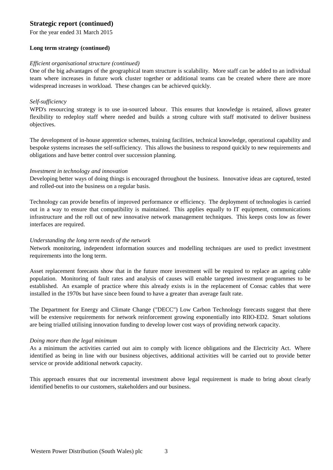For the year ended 31 March 2015

### **Long term strategy (continued)**

### *Efficient organisational structure (continued)*

One of the big advantages of the geographical team structure is scalability. More staff can be added to an individual team where increases in future work cluster together or additional teams can be created where there are more widespread increases in workload. These changes can be achieved quickly.

#### *Self-sufficiency*

WPD's resourcing strategy is to use in-sourced labour. This ensures that knowledge is retained, allows greater flexibility to redeploy staff where needed and builds a strong culture with staff motivated to deliver business objectives.

The development of in-house apprentice schemes, training facilities, technical knowledge, operational capability and bespoke systems increases the self-sufficiency. This allows the business to respond quickly to new requirements and obligations and have better control over succession planning.

#### *Investment in technology and innovation*

Developing better ways of doing things is encouraged throughout the business. Innovative ideas are captured, tested and rolled-out into the business on a regular basis.

Technology can provide benefits of improved performance or efficiency. The deployment of technologies is carried out in a way to ensure that compatibility is maintained. This applies equally to IT equipment, communications infrastructure and the roll out of new innovative network management techniques. This keeps costs low as fewer interfaces are required.

### *Understanding the long term needs of the network*

Network monitoring, independent information sources and modelling techniques are used to predict investment requirements into the long term.

Asset replacement forecasts show that in the future more investment will be required to replace an ageing cable population. Monitoring of fault rates and analysis of causes will enable targeted investment programmes to be established. An example of practice where this already exists is in the replacement of Consac cables that were installed in the 1970s but have since been found to have a greater than average fault rate.

The Department for Energy and Climate Change ("DECC") Low Carbon Technology forecasts suggest that there will be extensive requirements for network reinforcement growing exponentially into RIIO-ED2. Smart solutions are being trialled utilising innovation funding to develop lower cost ways of providing network capacity.

### *Doing more than the legal minimum*

As a minimum the activities carried out aim to comply with licence obligations and the Electricity Act. Where identified as being in line with our business objectives, additional activities will be carried out to provide better service or provide additional network capacity.

This approach ensures that our incremental investment above legal requirement is made to bring about clearly identified benefits to our customers, stakeholders and our business.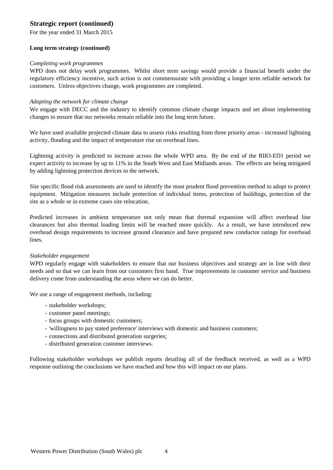For the year ended 31 March 2015

### **Long term strategy (continued)**

#### *Completing work programmes*

WPD does not delay work programmes. Whilst short term savings would provide a financial benefit under the regulatory efficiency incentive, such action is not commensurate with providing a longer term reliable network for customers. Unless objectives change, work programmes are completed.

#### *Adapting the network for climate change*

We engage with DECC and the industry to identify common climate change impacts and set about implementing changes to ensure that our networks remain reliable into the long term future.

We have used available projected climate data to assess risks resulting from three priority areas - increased lightning activity, flooding and the impact of temperature rise on overhead lines.

Lightning activity is predicted to increase across the whole WPD area. By the end of the RIIO-ED1 period we expect activity to increase by up to 11% in the South West and East Midlands areas. The effects are being mitigated by adding lightning protection devices to the network.

Site specific flood risk assessments are used to identify the most prudent flood prevention method to adopt to protect equipment. Mitigation measures include protection of individual items, protection of buildings, protection of the site as a whole or in extreme cases site relocation.

Predicted increases in ambient temperature not only mean that thermal expansion will affect overhead line clearances but also thermal loading limits will be reached more quickly. As a result, we have introduced new overhead design requirements to increase ground clearance and have prepared new conductor ratings for overhead lines.

### *Stakeholder engagement*

WPD regularly engage with stakeholders to ensure that our business objectives and strategy are in line with their needs and so that we can learn from our customers first hand. True improvements in customer service and business delivery come from understanding the areas where we can do better.

We use a range of engagement methods, including:

- stakeholder workshops;
- customer panel meetings;
- focus groups with domestic customers;
- 'willingness to pay stated preference' interviews with domestic and business customers;
- connections and distributed generation surgeries;
- distributed generation customer interviews.

Following stakeholder workshops we publish reports detailing all of the feedback received, as well as a WPD response outlining the conclusions we have reached and how this will impact on our plans.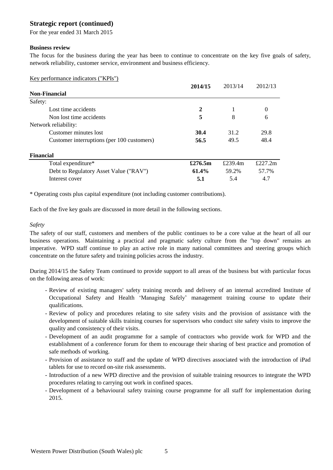For the year ended 31 March 2015

### **Business review**

The focus for the business during the year has been to continue to concentrate on the key five goals of safety, network reliability, customer service, environment and business efficiency.

| Key performance indicators ("KPIs")        |         |            |            |
|--------------------------------------------|---------|------------|------------|
|                                            | 2014/15 | 2013/14    | 2012/13    |
| <b>Non-Financial</b>                       |         |            |            |
| Safety:                                    |         |            |            |
| Lost time accidents                        | 2       | 1          | $\Omega$   |
| Non lost time accidents                    | 5       | 8          | 6          |
| Network reliability:                       |         |            |            |
| Customer minutes lost                      | 30.4    | 31.2       | 29.8       |
| Customer interruptions (per 100 customers) | 56.5    | 49.5       | 48.4       |
| <b>Financial</b>                           |         |            |            |
| Total expenditure*                         | £276.5m | £239.4 $m$ | £227.2 $m$ |
| Debt to Regulatory Asset Value ("RAV")     | 61.4%   | 59.2%      | 57.7%      |
| Interest cover                             | 5.1     | 5.4        | 4.7        |

\* Operating costs plus capital expenditure (not including customer contributions).

Each of the five key goals are discussed in more detail in the following sections.

### *Safety*

The safety of our staff, customers and members of the public continues to be a core value at the heart of all our business operations. Maintaining a practical and pragmatic safety culture from the "top down" remains an imperative. WPD staff continue to play an active role in many national committees and steering groups which concentrate on the future safety and training policies across the industry.

During 2014/15 the Safety Team continued to provide support to all areas of the business but with particular focus on the following areas of work:

- Review of existing managers' safety training records and delivery of an internal accredited Institute of Occupational Safety and Health 'Managing Safely' management training course to update their qualifications.
- Review of policy and procedures relating to site safety visits and the provision of assistance with the development of suitable skills training courses for supervisors who conduct site safety visits to improve the quality and consistency of their visits.
- Development of an audit programme for a sample of contractors who provide work for WPD and the establishment of a conference forum for them to encourage their sharing of best practice and promotion of safe methods of working.
- Provision of assistance to staff and the update of WPD directives associated with the introduction of iPad tablets for use to record on-site risk assessments.
- Introduction of a new WPD directive and the provision of suitable training resources to integrate the WPD procedures relating to carrying out work in confined spaces.
- Development of a behavioural safety training course programme for all staff for implementation during 2015.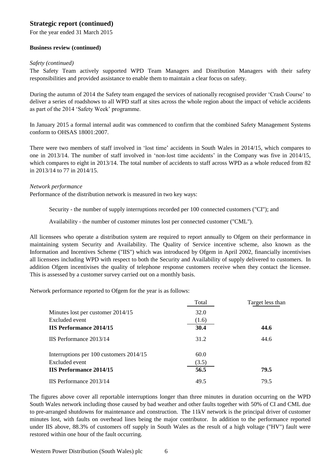For the year ended 31 March 2015

### **Business review (continued)**

### *Safety (continued)*

The Safety Team actively supported WPD Team Managers and Distribution Managers with their safety responsibilities and provided assistance to enable them to maintain a clear focus on safety.

During the autumn of 2014 the Safety team engaged the services of nationally recognised provider 'Crash Course' to deliver a series of roadshows to all WPD staff at sites across the whole region about the impact of vehicle accidents as part of the 2014 'Safety Week' programme.

In January 2015 a formal internal audit was commenced to confirm that the combined Safety Management Systems conform to OHSAS 18001:2007.

There were two members of staff involved in 'lost time' accidents in South Wales in 2014/15, which compares to one in 2013/14. The number of staff involved in 'non-lost time accidents' in the Company was five in 2014/15, which compares to eight in 2013/14. The total number of accidents to staff across WPD as a whole reduced from 82 in 2013/14 to 77 in 2014/15.

### *Network performance*

Performance of the distribution network is measured in two key ways:

Security - the number of supply interruptions recorded per 100 connected customers ("CI"); and

Availability - the number of customer minutes lost per connected customer ("CML").

All licensees who operate a distribution system are required to report annually to Ofgem on their performance in maintaining system Security and Availability. The Quality of Service incentive scheme, also known as the Information and Incentives Scheme ("IIS") which was introduced by Ofgem in April 2002, financially incentivises all licensees including WPD with respect to both the Security and Availability of supply delivered to customers. In addition Ofgem incentivises the quality of telephone response customers receive when they contact the licensee. This is assessed by a customer survey carried out on a monthly basis.

Network performance reported to Ofgem for the year is as follows:

| Total | Target less than |
|-------|------------------|
| 32.0  |                  |
| (1.6) |                  |
| 30.4  | 44.6             |
| 31.2  | 44.6             |
| 60.0  |                  |
| (3.5) |                  |
| 56.5  | 79.5             |
| 49.5  | 79.5             |
|       |                  |

The figures above cover all reportable interruptions longer than three minutes in duration occurring on the WPD South Wales network including those caused by bad weather and other faults together with 50% of CI and CML due to pre-arranged shutdowns for maintenance and construction. The 11kV network is the principal driver of customer minutes lost, with faults on overhead lines being the major contributor. In addition to the performance reported under IIS above, 88.3% of customers off supply in South Wales as the result of a high voltage ("HV") fault were restored within one hour of the fault occurring.

Western Power Distribution (South Wales) plc 6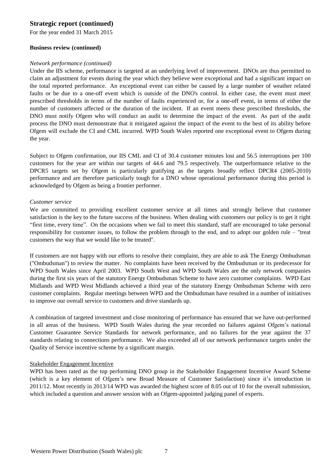For the year ended 31 March 2015

#### **Business review (continued)**

#### *Network performance (continued)*

Under the IIS scheme, performance is targeted at an underlying level of improvement. DNOs are thus permitted to claim an adjustment for events during the year which they believe were exceptional and had a significant impact on the total reported performance. An exceptional event can either be caused by a large number of weather related faults or be due to a one-off event which is outside of the DNO's control. In either case, the event must meet prescribed thresholds in terms of the number of faults experienced or, for a one-off event, in terms of either the number of customers affected or the duration of the incident. If an event meets these prescribed thresholds, the DNO must notify Ofgem who will conduct an audit to determine the impact of the event. As part of the audit process the DNO must demonstrate that it mitigated against the impact of the event to the best of its ability before Ofgem will exclude the CI and CML incurred. WPD South Wales reported one exceptional event to Ofgem during the year.

Subject to Ofgem confirmation, our IIS CML and CI of 30.4 customer minutes lost and 56.5 interruptions per 100 customers for the year are within our targets of 44.6 and 79.5 respectively. The outperformance relative to the DPCR5 targets set by Ofgem is particularly gratifying as the targets broadly reflect DPCR4 (2005-2010) performance and are therefore particularly tough for a DNO whose operational performance during this period is acknowledged by Ofgem as being a frontier performer.

#### *Customer service*

We are committed to providing excellent customer service at all times and strongly believe that customer satisfaction is the key to the future success of the business. When dealing with customers our policy is to get it right "first time, every time". On the occasions when we fail to meet this standard, staff are encouraged to take personal responsibility for customer issues, to follow the problem through to the end, and to adopt our golden rule – "treat customers the way that we would like to be treated".

If customers are not happy with our efforts to resolve their complaint, they are able to ask The Energy Ombudsman ("Ombudsman") to review the matter. No complaints have been received by the Ombudsman or its predecessor for WPD South Wales since April 2003. WPD South West and WPD South Wales are the only network companies during the first six years of the statutory Energy Ombudsman Scheme to have zero customer complaints. WPD East Midlands and WPD West Midlands achieved a third year of the statutory Energy Ombudsman Scheme with zero customer complaints. Regular meetings between WPD and the Ombudsman have resulted in a number of initiatives to improve our overall service to customers and drive standards up.

A combination of targeted investment and close monitoring of performance has ensured that we have out-performed in all areas of the business. WPD South Wales during the year recorded no failures against Ofgem's national Customer Guarantee Service Standards for network performance, and no failures for the year against the 37 standards relating to connections performance. We also exceeded all of our network performance targets under the Quality of Service incentive scheme by a significant margin.

### Stakeholder Engagement Incentive

WPD has been rated as the top performing DNO group in the Stakeholder Engagement Incentive Award Scheme (which is a key element of Ofgem's new Broad Measure of Customer Satisfaction) since it's introduction in 2011/12. Most recently in 2013/14 WPD was awarded the highest score of 8.05 out of 10 for the overall submission, which included a question and answer session with an Ofgem-appointed judging panel of experts.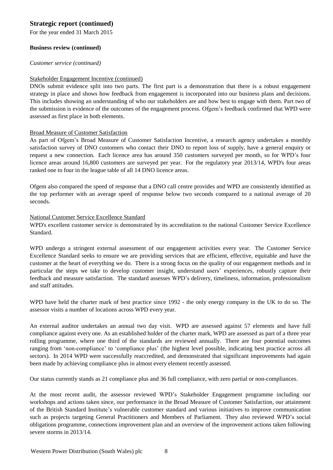For the year ended 31 March 2015

### **Business review (continued)**

*Customer service (continued)*

### Stakeholder Engagement Incentive (continued)

DNOs submit evidence split into two parts. The first part is a demonstration that there is a robust engagement strategy in place and shows how feedback from engagement is incorporated into our business plans and decisions. This includes showing an understanding of who our stakeholders are and how best to engage with them. Part two of the submission is evidence of the outcomes of the engagement process. Ofgem's feedback confirmed that WPD were assessed as first place in both elements.

### Broad Measure of Customer Satisfaction

As part of Ofgem's Broad Measure of Customer Satisfaction Incentive, a research agency undertakes a monthly satisfaction survey of DNO customers who contact their DNO to report loss of supply, have a general enquiry or request a new connection. Each licence area has around 350 customers surveyed per month, so for WPD's four licence areas around 16,800 customers are surveyed per year. For the regulatory year 2013/14, WPD's four areas ranked one to four in the league table of all 14 DNO licence areas.

Ofgem also compared the speed of response that a DNO call centre provides and WPD are consistently identified as the top performer with an average speed of response below two seconds compared to a national average of 20 seconds.

### National Customer Service Excellence Standard

WPD's excellent customer service is demonstrated by its accreditation to the national Customer Service Excellence Standard.

WPD undergo a stringent external assessment of our engagement activities every year. The Customer Service Excellence Standard seeks to ensure we are providing services that are efficient, effective, equitable and have the customer at the heart of everything we do. There is a strong focus on the quality of our engagement methods and in particular the steps we take to develop customer insight, understand users' experiences, robustly capture their feedback and measure satisfaction. The standard assesses WPD's delivery, timeliness, information, professionalism and staff attitudes.

WPD have held the charter mark of best practice since 1992 - the only energy company in the UK to do so. The assessor visits a number of locations across WPD every year.

An external auditor undertakes an annual two day visit. WPD are assessed against 57 elements and have full compliance against every one. As an established holder of the charter mark, WPD are assessed as part of a three year rolling programme, where one third of the standards are reviewed annually. There are four potential outcomes ranging from 'non-compliance' to 'compliance plus' (the highest level possible, indicating best practice across all sectors). In 2014 WPD were successfully reaccredited, and demonstrated that significant improvements had again been made by achieving compliance plus in almost every element recently assessed.

Our status currently stands as 21 compliance plus and 36 full compliance, with zero partial or non-compliances.

At the most recent audit, the assessor reviewed WPD's Stakeholder Engagement programme including our workshops and actions taken since, our performance in the Broad Measure of Customer Satisfaction, our attainment of the British Standard Institute's vulnerable customer standard and various initiatives to improve communication such as projects targeting General Practitioners and Members of Parliament. They also reviewed WPD's social obligations programme, connections improvement plan and an overview of the improvement actions taken following severe storms in 2013/14.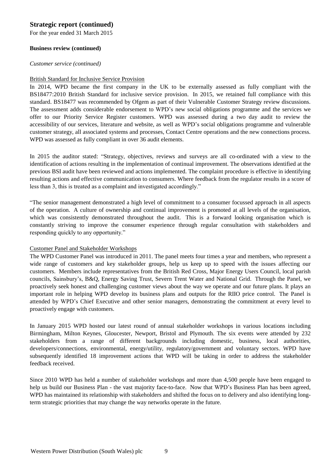For the year ended 31 March 2015

### **Business review (continued)**

*Customer service (continued)*

### British Standard for Inclusive Service Provision

In 2014, WPD became the first company in the UK to be externally assessed as fully compliant with the BS18477:2010 British Standard for inclusive service provision. In 2015, we retained full compliance with this standard. BS18477 was recommended by Ofgem as part of their Vulnerable Customer Strategy review discussions. The assessment adds considerable endorsement to WPD's new social obligations programme and the services we offer to our Priority Service Register customers. WPD was assessed during a two day audit to review the accessibility of our services, literature and website, as well as WPD's social obligations programme and vulnerable customer strategy, all associated systems and processes, Contact Centre operations and the new connections process. WPD was assessed as fully compliant in over 36 audit elements.

In 2015 the auditor stated: "Strategy, objectives, reviews and surveys are all co-ordinated with a view to the identification of actions resulting in the implementation of continual improvement. The observations identified at the previous BSI audit have been reviewed and actions implemented. The complaint procedure is effective in identifying resulting actions and effective communication to consumers. Where feedback from the regulator results in a score of less than 3, this is treated as a complaint and investigated accordingly."

"The senior management demonstrated a high level of commitment to a consumer focussed approach in all aspects of the operation. A culture of ownership and continual improvement is promoted at all levels of the organisation, which was consistently demonstrated throughout the audit. This is a forward looking organisation which is constantly striving to improve the consumer experience through regular consultation with stakeholders and responding quickly to any opportunity."

### Customer Panel and Stakeholder Workshops

The WPD Customer Panel was introduced in 2011. The panel meets four times a year and members, who represent a wide range of customers and key stakeholder groups, help us keep up to speed with the issues affecting our customers. Members include representatives from the British Red Cross, Major Energy Users Council, local parish councils, Sainsbury's, B&Q, Energy Saving Trust, Severn Trent Water and National Grid. Through the Panel, we proactively seek honest and challenging customer views about the way we operate and our future plans. It plays an important role in helping WPD develop its business plans and outputs for the RIIO price control. The Panel is attended by WPD's Chief Executive and other senior managers, demonstrating the commitment at every level to proactively engage with customers.

In January 2015 WPD hosted our latest round of annual stakeholder workshops in various locations including Birmingham, Milton Keynes, Gloucester, Newport, Bristol and Plymouth. The six events were attended by 232 stakeholders from a range of different backgrounds including domestic, business, local authorities, developers/connections, environmental, energy/utility, regulatory/government and voluntary sectors. WPD have subsequently identified 18 improvement actions that WPD will be taking in order to address the stakeholder feedback received.

Since 2010 WPD has held a number of stakeholder workshops and more than 4,500 people have been engaged to help us build our Business Plan - the vast majority face-to-face. Now that WPD's Business Plan has been agreed, WPD has maintained its relationship with stakeholders and shifted the focus on to delivery and also identifying longterm strategic priorities that may change the way networks operate in the future.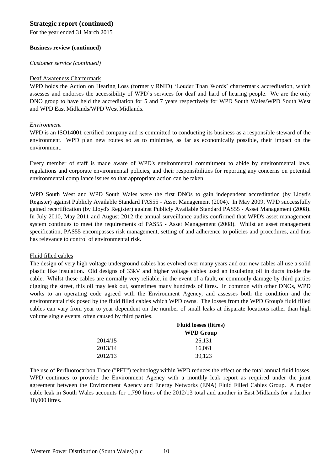For the year ended 31 March 2015

#### **Business review (continued)**

*Customer service (continued)*

#### Deaf Awareness Chartermark

WPD holds the Action on Hearing Loss (formerly RNID) 'Louder Than Words' chartermark accreditation, which assesses and endorses the accessibility of WPD's services for deaf and hard of hearing people. We are the only DNO group to have held the accreditation for 5 and 7 years respectively for WPD South Wales/WPD South West and WPD East Midlands/WPD West Midlands.

### *Environment*

WPD is an ISO14001 certified company and is committed to conducting its business as a responsible steward of the environment. WPD plan new routes so as to minimise, as far as economically possible, their impact on the environment.

Every member of staff is made aware of WPD's environmental commitment to abide by environmental laws, regulations and corporate environmental policies, and their responsibilities for reporting any concerns on potential environmental compliance issues so that appropriate action can be taken.

WPD South West and WPD South Wales were the first DNOs to gain independent accreditation (by Lloyd's Register) against Publicly Available Standard PAS55 - Asset Management (2004). In May 2009, WPD successfully gained recertification (by Lloyd's Register) against Publicly Available Standard PAS55 - Asset Management (2008). In July 2010, May 2011 and August 2012 the annual surveillance audits confirmed that WPD's asset management system continues to meet the requirements of PAS55 - Asset Management (2008). Whilst an asset management specification, PAS55 encompasses risk management, setting of and adherence to policies and procedures, and thus has relevance to control of environmental risk.

### Fluid filled cables

The design of very high voltage underground cables has evolved over many years and our new cables all use a solid plastic like insulation. Old designs of 33kV and higher voltage cables used an insulating oil in ducts inside the cable. Whilst these cables are normally very reliable, in the event of a fault, or commonly damage by third parties digging the street, this oil may leak out, sometimes many hundreds of litres. In common with other DNOs, WPD works to an operating code agreed with the Environment Agency, and assesses both the condition and the environmental risk posed by the fluid filled cables which WPD owns. The losses from the WPD Group's fluid filled cables can vary from year to year dependent on the number of small leaks at disparate locations rather than high volume single events, often caused by third parties.

|         | <b>Fluid losses (litres)</b> |
|---------|------------------------------|
|         | <b>WPD Group</b>             |
| 2014/15 | 25.131                       |
| 2013/14 | 16.061                       |
| 2012/13 | 39,123                       |

The use of Perfluorocarbon Trace ("PFT") technology within WPD reduces the effect on the total annual fluid losses. WPD continues to provide the Environment Agency with a monthly leak report as required under the joint agreement between the Environment Agency and Energy Networks (ENA) Fluid Filled Cables Group. A major cable leak in South Wales accounts for 1,790 litres of the 2012/13 total and another in East Midlands for a further 10,000 litres.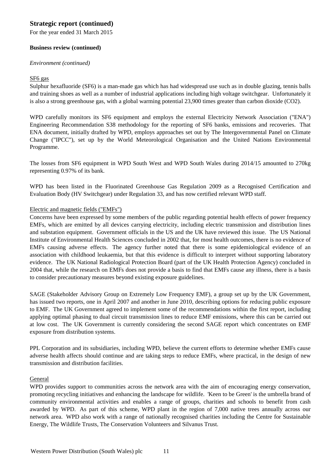For the year ended 31 March 2015

### **Business review (continued)**

### *Environment (continued)*

### SF6 gas

Sulphur hexafluoride (SF6) is a man-made gas which has had widespread use such as in double glazing, tennis balls and training shoes as well as a number of industrial applications including high voltage switchgear. Unfortunately it is also a strong greenhouse gas, with a global warming potential 23,900 times greater than carbon dioxide (CO2).

WPD carefully monitors its SF6 equipment and employs the external Electricity Network Association ("ENA") Engineering Recommendation S38 methodology for the reporting of SF6 banks, emissions and recoveries. That ENA document, initially drafted by WPD, employs approaches set out by The Intergovernmental Panel on Climate Change ("IPCC"), set up by the World Meteorological Organisation and the United Nations Environmental Programme.

The losses from SF6 equipment in WPD South West and WPD South Wales during 2014/15 amounted to 270kg representing 0.97% of its bank.

WPD has been listed in the Fluorinated Greenhouse Gas Regulation 2009 as a Recognised Certification and Evaluation Body (HV Switchgear) under Regulation 33, and has now certified relevant WPD staff.

### Electric and magnetic fields ("EMFs")

Concerns have been expressed by some members of the public regarding potential health effects of power frequency EMFs, which are emitted by all devices carrying electricity, including electric transmission and distribution lines and substation equipment. Government officials in the US and the UK have reviewed this issue. The US National Institute of Environmental Health Sciences concluded in 2002 that, for most health outcomes, there is no evidence of EMFs causing adverse effects. The agency further noted that there is some epidemiological evidence of an association with childhood leukaemia, but that this evidence is difficult to interpret without supporting laboratory evidence. The UK National Radiological Protection Board (part of the UK Health Protection Agency) concluded in 2004 that, while the research on EMFs does not provide a basis to find that EMFs cause any illness, there is a basis to consider precautionary measures beyond existing exposure guidelines.

SAGE (Stakeholder Advisory Group on Extremely Low Frequency EMF), a group set up by the UK Government, has issued two reports, one in April 2007 and another in June 2010, describing options for reducing public exposure to EMF. The UK Government agreed to implement some of the recommendations within the first report, including applying optimal phasing to dual circuit transmission lines to reduce EMF emissions, where this can be carried out at low cost. The UK Government is currently considering the second SAGE report which concentrates on EMF exposure from distribution systems.

PPL Corporation and its subsidiaries, including WPD, believe the current efforts to determine whether EMFs cause adverse health affects should continue and are taking steps to reduce EMFs, where practical, in the design of new transmission and distribution facilities.

### General

WPD provides support to communities across the network area with the aim of encouraging energy conservation, promoting recycling initiatives and enhancing the landscape for wildlife. 'Keen to be Green' is the umbrella brand of community environmental activities and enables a range of groups, charities and schools to benefit from cash awarded by WPD. As part of this scheme, WPD plant in the region of 7,000 native trees annually across our network area. WPD also work with a range of nationally recognised charities including the Centre for Sustainable Energy, The Wildlife Trusts, The Conservation Volunteers and Silvanus Trust.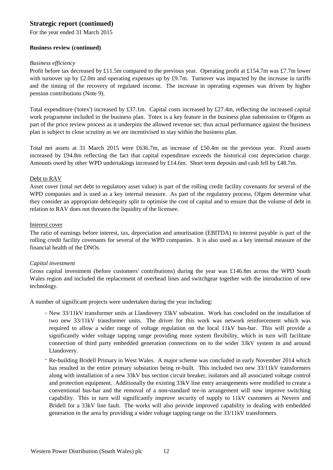For the year ended 31 March 2015

### **Business review (continued)**

### *Business efficiency*

Profit before tax decreased by £11.5m compared to the previous year. Operating profit at £154.7m was £7.7m lower with turnover up by £2.0m and operating expenses up by £9.7m. Turnover was impacted by the increase in tariffs and the timing of the recovery of regulated income. The increase in operating expenses was driven by higher pension contributions (Note 9).

Total expenditure ('totex') increased by £37.1m. Capital costs increased by £27.4m, reflecting the increased capital work programme included in the business plan. Totex is a key feature in the business plan submission to Ofgem as part of the price review process as it underpins the allowed revenue set; thus actual performance against the business plan is subject to close scrutiny as we are incentivised to stay within the business plan.

Total net assets at 31 March 2015 were £636.7m, an increase of £50.4m on the previous year. Fixed assets increased by £94.8m reflecting the fact that capital expenditure exceeds the historical cost depreciation charge. Amounts owed by other WPD undertakings increased by £14.6m. Short term deposits and cash fell by £48.7m.

### Debt to RAV

Asset cover (total net debt to regulatory asset value) is part of the rolling credit facility covenants for several of the WPD companies and is used as a key internal measure. As part of the regulatory process, Ofgem determine what they consider an appropriate debt/equity split to optimise the cost of capital and to ensure that the volume of debt in relation to RAV does not threaten the liquidity of the licensee.

### Interest cover

The ratio of earnings before interest, tax, depreciation and amortisation (EBITDA) to interest payable is part of the rolling credit facility covenants for several of the WPD companies. It is also used as a key internal measure of the financial health of the DNOs.

### *Capital investment*

Gross capital investment (before customers' contributions) during the year was £146.8m across the WPD South Wales region and included the replacement of overhead lines and switchgear together with the introduction of new technology.

A number of significant projects were undertaken during the year including:

- New 33/11kV transformer units at Llandovery 33kV substation. Work has concluded on the installation of two new 33/11kV transformer units. The driver for this work was network reinforcement which was required to allow a wider range of voltage regulation on the local 11kV bus-bar. This will provide a significantly wider voltage tapping range providing more system flexibility, which in turn will facilitate connection of third party embedded generation connections on to the wider 33kV system in and around Llandovery.
- Re-building Bridell Primary in West Wales. A major scheme was concluded in early November 2014 which has resulted in the entire primary substation being re-built. This included two new 33/11kV transformers along with installation of a new 33kV bus section circuit breaker, isolators and all associated voltage control and protection equipment. Additionally the existing 33kV line entry arrangements were modified to create a conventional bus-bar and the removal of a non-standard tee-in arrangement will now improve switching capability. This in turn will significantly improve security of supply to 11kV customers at Nevern and Bridell for a 33kV line fault. The works will also provide improved capability in dealing with embedded generation in the area by providing a wider voltage tapping range on the 33/11kV transformers.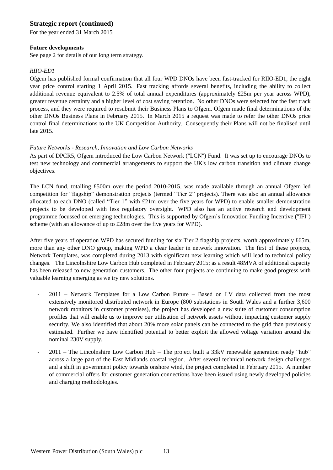For the year ended 31 March 2015

### **Future developments**

See page 2 for details of our long term strategy.

### *RIIO-ED1*

Ofgem has published formal confirmation that all four WPD DNOs have been fast-tracked for RIIO-ED1, the eight year price control starting 1 April 2015. Fast tracking affords several benefits, including the ability to collect additional revenue equivalent to 2.5% of total annual expenditures (approximately £25m per year across WPD), greater revenue certainty and a higher level of cost saving retention. No other DNOs were selected for the fast track process, and they were required to resubmit their Business Plans to Ofgem. Ofgem made final determinations of the other DNOs Business Plans in February 2015. In March 2015 a request was made to refer the other DNOs price control final determinations to the UK Competition Authority. Consequently their Plans will not be finalised until late 2015.

### *Future Networks - Research, Innovation and Low Carbon Networks*

As part of DPCR5, Ofgem introduced the Low Carbon Network ("LCN") Fund. It was set up to encourage DNOs to test new technology and commercial arrangements to support the UK's low carbon transition and climate change objectives.

The LCN fund, totalling £500m over the period 2010-2015, was made available through an annual Ofgem led competition for "flagship" demonstration projects (termed "Tier 2" projects). There was also an annual allowance allocated to each DNO (called "Tier 1" with £21m over the five years for WPD) to enable smaller demonstration projects to be developed with less regulatory oversight. WPD also has an active research and development programme focussed on emerging technologies. This is supported by Ofgem's Innovation Funding Incentive ("IFI") scheme (with an allowance of up to £28m over the five years for WPD).

After five years of operation WPD has secured funding for six Tier 2 flagship projects, worth approximately £65m, more than any other DNO group, making WPD a clear leader in network innovation. The first of these projects, Network Templates, was completed during 2013 with significant new learning which will lead to technical policy changes. The Lincolnshire Low Carbon Hub completed in February 2015; as a result 48MVA of additional capacity has been released to new generation customers. The other four projects are continuing to make good progress with valuable learning emerging as we try new solutions.

- **-** 2011 – Network Templates for a Low Carbon Future – Based on LV data collected from the most extensively monitored distributed network in Europe (800 substations in South Wales and a further 3,600 network monitors in customer premises), the project has developed a new suite of customer consumption profiles that will enable us to improve our utilisation of network assets without impacting customer supply security. We also identified that about 20% more solar panels can be connected to the grid than previously estimated. Further we have identified potential to better exploit the allowed voltage variation around the nominal 230V supply.
- **-** 2011 – The Lincolnshire Low Carbon Hub – The project built a 33kV renewable generation ready "hub" across a large part of the East Midlands coastal region. After several technical network design challenges and a shift in government policy towards onshore wind, the project completed in February 2015. A number of commercial offers for customer generation connections have been issued using newly developed policies and charging methodologies.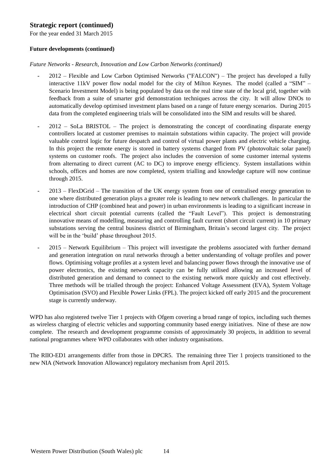For the year ended 31 March 2015

### **Future developments (continued)**

*Future Networks - Research, Innovation and Low Carbon Networks (continued)*

- **-** 2012 – Flexible and Low Carbon Optimised Networks ("FALCON") – The project has developed a fully interactive 11kV power flow nodal model for the city of Milton Keynes. The model (called a "SIM" – Scenario Investment Model) is being populated by data on the real time state of the local grid, together with feedback from a suite of smarter grid demonstration techniques across the city. It will allow DNOs to automatically develop optimised investment plans based on a range of future energy scenarios. During 2015 data from the completed engineering trials will be consolidated into the SIM and results will be shared.
- **-** 2012 – SoLa BRISTOL – The project is demonstrating the concept of coordinating disparate energy controllers located at customer premises to maintain substations within capacity. The project will provide valuable control logic for future despatch and control of virtual power plants and electric vehicle charging. In this project the remote energy is stored in battery systems charged from PV (photovoltaic solar panel) systems on customer roofs. The project also includes the conversion of some customer internal systems from alternating to direct current (AC to DC) to improve energy efficiency. System installations within schools, offices and homes are now completed, system trialling and knowledge capture will now continue through 2015.
- **-** 2013 – FlexDGrid – The transition of the UK energy system from one of centralised energy generation to one where distributed generation plays a greater role is leading to new network challenges. In particular the introduction of CHP (combined heat and power) in urban environments is leading to a significant increase in electrical short circuit potential currents (called the "Fault Level"). This project is demonstrating innovative means of modelling, measuring and controlling fault current (short circuit current) in 10 primary substations serving the central business district of Birmingham, Britain's second largest city. The project will be in the 'build' phase throughout 2015.
- **-** 2015 Network Equilibrium This project will investigate the problems associated with further demand and generation integration on rural networks through a better understanding of voltage profiles and power flows. Optimising voltage profiles at a system level and balancing power flows through the innovative use of power electronics, the existing network capacity can be fully utilised allowing an increased level of distributed generation and demand to connect to the existing network more quickly and cost effectively. Three methods will be trialled through the project: Enhanced Voltage Assessment (EVA), System Voltage Optimisation (SVO) and Flexible Power Links (FPL). The project kicked off early 2015 and the procurement stage is currently underway.

WPD has also registered twelve Tier 1 projects with Ofgem covering a broad range of topics, including such themes as wireless charging of electric vehicles and supporting community based energy initiatives. Nine of these are now complete. The research and development programme consists of approximately 30 projects, in addition to several national programmes where WPD collaborates with other industry organisations.

The RIIO-ED1 arrangements differ from those in DPCR5. The remaining three Tier 1 projects transitioned to the new NIA (Network Innovation Allowance) regulatory mechanism from April 2015.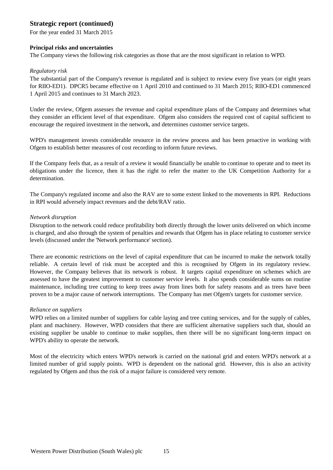For the year ended 31 March 2015

### **Principal risks and uncertainties**

The Company views the following risk categories as those that are the most significant in relation to WPD.

#### *Regulatory risk*

The substantial part of the Company's revenue is regulated and is subject to review every five years (or eight years for RIIO-ED1). DPCR5 became effective on 1 April 2010 and continued to 31 March 2015; RIIO-ED1 commenced 1 April 2015 and continues to 31 March 2023.

Under the review, Ofgem assesses the revenue and capital expenditure plans of the Company and determines what they consider an efficient level of that expenditure. Ofgem also considers the required cost of capital sufficient to encourage the required investment in the network, and determines customer service targets.

WPD's management invests considerable resource in the review process and has been proactive in working with Ofgem to establish better measures of cost recording to inform future reviews.

If the Company feels that, as a result of a review it would financially be unable to continue to operate and to meet its obligations under the licence, then it has the right to refer the matter to the UK Competition Authority for a determination.

The Company's regulated income and also the RAV are to some extent linked to the movements in RPI. Reductions in RPI would adversely impact revenues and the debt/RAV ratio.

### *Network disruption*

Disruption to the network could reduce profitability both directly through the lower units delivered on which income is charged, and also through the system of penalties and rewards that Ofgem has in place relating to customer service levels (discussed under the 'Network performance' section).

There are economic restrictions on the level of capital expenditure that can be incurred to make the network totally reliable. A certain level of risk must be accepted and this is recognised by Ofgem in its regulatory review. However, the Company believes that its network is robust. It targets capital expenditure on schemes which are assessed to have the greatest improvement to customer service levels. It also spends considerable sums on routine maintenance, including tree cutting to keep trees away from lines both for safety reasons and as trees have been proven to be a major cause of network interruptions. The Company has met Ofgem's targets for customer service.

### *Reliance on suppliers*

WPD relies on a limited number of suppliers for cable laying and tree cutting services, and for the supply of cables, plant and machinery. However, WPD considers that there are sufficient alternative suppliers such that, should an existing supplier be unable to continue to make supplies, then there will be no significant long-term impact on WPD's ability to operate the network.

Most of the electricity which enters WPD's network is carried on the national grid and enters WPD's network at a limited number of grid supply points. WPD is dependent on the national grid. However, this is also an activity regulated by Ofgem and thus the risk of a major failure is considered very remote.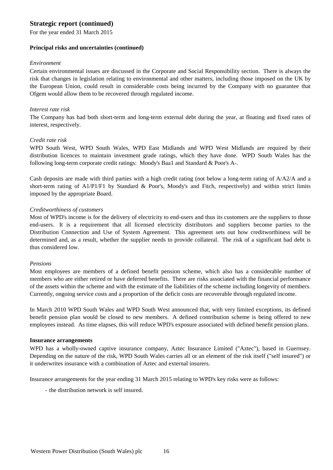For the year ended 31 March 2015

#### **Principal risks and uncertainties (continued)**

#### *Environment*

Certain environmental issues are discussed in the Corporate and Social Responsibility section. There is always the risk that changes in legislation relating to environmental and other matters, including those imposed on the UK by the European Union, could result in considerable costs being incurred by the Company with no guarantee that Ofgem would allow them to be recovered through regulated income.

#### *Interest rate risk*

The Company has had both short-term and long-term external debt during the year, at floating and fixed rates of interest, respectively.

#### *Credit rate risk*

WPD South West, WPD South Wales, WPD East Midlands and WPD West Midlands are required by their distribution licences to maintain investment grade ratings, which they have done. WPD South Wales has the following long-term corporate credit ratings: Moody's Baa1 and Standard & Poor's A-.

Cash deposits are made with third parties with a high credit rating (not below a long-term rating of A/A2/A and a short-term rating of A1/P1/F1 by Standard & Poor's, Moody's and Fitch, respectively) and within strict limits imposed by the appropriate Board.

#### *Creditworthiness of customers*

Most of WPD's income is for the delivery of electricity to end-users and thus its customers are the suppliers to those end-users. It is a requirement that all licensed electricity distributors and suppliers become parties to the Distribution Connection and Use of System Agreement. This agreement sets out how creditworthiness will be determined and, as a result, whether the supplier needs to provide collateral. The risk of a significant bad debt is thus considered low.

### *Pensions*

Most employees are members of a defined benefit pension scheme, which also has a considerable number of members who are either retired or have deferred benefits. There are risks associated with the financial performance of the assets within the scheme and with the estimate of the liabilities of the scheme including longevity of members. Currently, ongoing service costs and a proportion of the deficit costs are recoverable through regulated income.

In March 2010 WPD South Wales and WPD South West announced that, with very limited exceptions, its defined benefit pension plan would be closed to new members. A defined contribution scheme is being offered to new employees instead. As time elapses, this will reduce WPD's exposure associated with defined benefit pension plans.

#### **Insurance arrangements**

WPD has a wholly-owned captive insurance company, Aztec Insurance Limited ("Aztec"), based in Guernsey. Depending on the nature of the risk, WPD South Wales carries all or an element of the risk itself ("self insured") or it underwrites insurance with a combination of Aztec and external insurers.

Insurance arrangements for the year ending 31 March 2015 relating to WPD's key risks were as follows:

- the distribution network is self insured.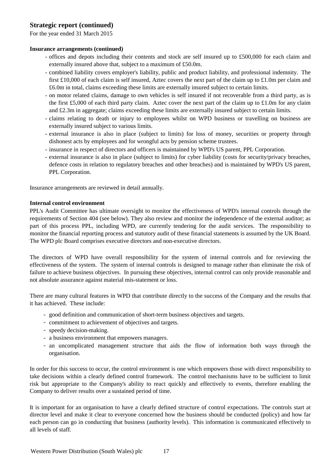For the year ended 31 March 2015

### **Insurance arrangements (continued)**

- offices and depots including their contents and stock are self insured up to £500,000 for each claim and externally insured above that, subject to a maximum of £50.0m.
- combined liability covers employer's liability, public and product liability, and professional indemnity. The first £10,000 of each claim is self insured, Aztec covers the next part of the claim up to £1.0m per claim and £6.0m in total, claims exceeding these limits are externally insured subject to certain limits.
- on motor related claims, damage to own vehicles is self insured if not recoverable from a third party, as is the first £5,000 of each third party claim. Aztec cover the next part of the claim up to £1.0m for any claim and £2.3m in aggregate; claims exceeding these limits are externally insured subject to certain limits.
- claims relating to death or injury to employees whilst on WPD business or travelling on business are externally insured subject to various limits.
- external insurance is also in place (subject to limits) for loss of money, securities or property through dishonest acts by employees and for wrongful acts by pension scheme trustees.
- insurance in respect of directors and officers is maintained by WPD's US parent, PPL Corporation.
- external insurance is also in place (subject to limits) for cyber liability (costs for security/privacy breaches, defence costs in relation to regulatory breaches and other breaches) and is maintained by WPD's US parent, PPL Corporation.

Insurance arrangements are reviewed in detail annually.

### **Internal control environment**

PPL's Audit Committee has ultimate oversight to monitor the effectiveness of WPD's internal controls through the requirements of Section 404 (see below). They also review and monitor the independence of the external auditor; as part of this process PPL, including WPD, are currently tendering for the audit services. The responsibility to monitor the financial reporting process and statutory audit of these financial statements is assumed by the UK Board. The WPD plc Board comprises executive directors and non-executive directors.

The directors of WPD have overall responsibility for the system of internal controls and for reviewing the effectiveness of the system. The system of internal controls is designed to manage rather than eliminate the risk of failure to achieve business objectives. In pursuing these objectives, internal control can only provide reasonable and not absolute assurance against material mis-statement or loss.

There are many cultural features in WPD that contribute directly to the success of the Company and the results that it has achieved. These include:

- good definition and communication of short-term business objectives and targets.
- commitment to achievement of objectives and targets.
- speedy decision-making.
- a business environment that empowers managers.
- an uncomplicated management structure that aids the flow of information both ways through the organisation.

In order for this success to occur, the control environment is one which empowers those with direct responsibility to take decisions within a clearly defined control framework. The control mechanisms have to be sufficient to limit risk but appropriate to the Company's ability to react quickly and effectively to events, therefore enabling the Company to deliver results over a sustained period of time.

It is important for an organisation to have a clearly defined structure of control expectations. The controls start at director level and make it clear to everyone concerned how the business should be conducted (policy) and how far each person can go in conducting that business (authority levels). This information is communicated effectively to all levels of staff.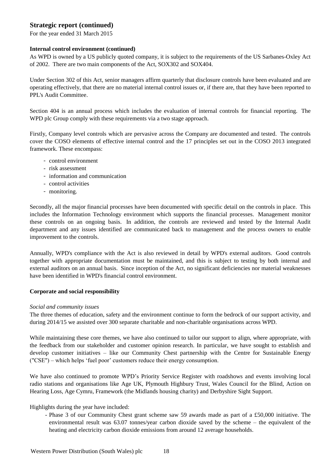For the year ended 31 March 2015

### **Internal control environment (continued)**

As WPD is owned by a US publicly quoted company, it is subject to the requirements of the US Sarbanes-Oxley Act of 2002. There are two main components of the Act, SOX302 and SOX404.

Under Section 302 of this Act, senior managers affirm quarterly that disclosure controls have been evaluated and are operating effectively, that there are no material internal control issues or, if there are, that they have been reported to PPL's Audit Committee.

Section 404 is an annual process which includes the evaluation of internal controls for financial reporting. The WPD plc Group comply with these requirements via a two stage approach.

Firstly, Company level controls which are pervasive across the Company are documented and tested. The controls cover the COSO elements of effective internal control and the 17 principles set out in the COSO 2013 integrated framework. These encompass:

- control environment
- risk assessment
- information and communication
- control activities
- monitoring.

Secondly, all the major financial processes have been documented with specific detail on the controls in place. This includes the Information Technology environment which supports the financial processes. Management monitor these controls on an ongoing basis. In addition, the controls are reviewed and tested by the Internal Audit department and any issues identified are communicated back to management and the process owners to enable improvement to the controls.

Annually, WPD's compliance with the Act is also reviewed in detail by WPD's external auditors. Good controls together with appropriate documentation must be maintained, and this is subject to testing by both internal and external auditors on an annual basis. Since inception of the Act, no significant deficiencies nor material weaknesses have been identified in WPD's financial control environment.

### **Corporate and social responsibility**

### *Social and community issues*

The three themes of education, safety and the environment continue to form the bedrock of our support activity, and during 2014/15 we assisted over 300 separate charitable and non-charitable organisations across WPD.

While maintaining these core themes, we have also continued to tailor our support to align, where appropriate, with the feedback from our stakeholder and customer opinion research. In particular, we have sought to establish and develop customer initiatives – like our Community Chest partnership with the Centre for Sustainable Energy ("CSE") – which helps 'fuel poor' customers reduce their energy consumption.

We have also continued to promote WPD's Priority Service Register with roadshows and events involving local radio stations and organisations like Age UK, Plymouth Highbury Trust, Wales Council for the Blind, Action on Hearing Loss, Age Cymru, Framework (the Midlands housing charity) and Derbyshire Sight Support.

### Highlights during the year have included:

- Phase 3 of our Community Chest grant scheme saw 59 awards made as part of a £50,000 initiative. The environmental result was 63.07 tonnes/year carbon dioxide saved by the scheme – the equivalent of the heating and electricity carbon dioxide emissions from around 12 average households.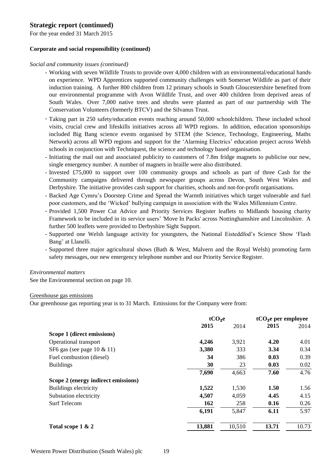For the year ended 31 March 2015

### **Corporate and social responsibility (continued)**

### *Social and community issues (continued)*

- Working with seven Wildlife Trusts to provide over 4,000 children with an environmental/educational handson experience. WPD Apprentices supported community challenges with Somerset Wildlife as part of their induction training. A further 800 children from 12 primary schools in South Gloucestershire benefited from our environmental programme with Avon Wildlife Trust, and over 400 children from deprived areas of South Wales. Over 7,000 native trees and shrubs were planted as part of our partnership with The Conservation Volunteers (formerly BTCV) and the Silvanus Trust.
- Taking part in 250 safety/education events reaching around 50,000 schoolchildren. These included school visits, crucial crew and lifeskills initiatives across all WPD regions. In addition, education sponsorships included Big Bang science events organised by STEM (the Science, Technology, Engineering, Maths Network) across all WPD regions and support for the 'Alarming Electrics' education project across Welsh schools in conjunction with Techniquest, the science and technology based organisation.
- Initiating the mail out and associated publicity to customers of 7.8m fridge magnets to publicise our new, single emergency number. A number of magnets in braille were also distributed.
- Invested £75,000 to support over 100 community groups and schools as part of three Cash for the Community campaigns delivered through newspaper groups across Devon, South West Wales and Derbyshire. The initiative provides cash support for charities, schools and not-for-profit organisations.
- Backed Age Cymru's Doorstep Crime and Spread the Warmth initiatives which target vulnerable and fuel poor customers, and the 'Wicked' bullying campaign in association with the Wales Millennium Centre.
- Provided 1,500 Power Cut Advice and Priority Services Register leaflets to Midlands housing charity Framework to be included in its service users' 'Move In Packs' across Nottinghamshire and Lincolnshire. A further 500 leaflets were provided to Derbyshire Sight Support.
- Supported one Welsh language activity for youngsters, the National Eisteddfod's Science Show 'Flash Bang' at Llanelli.
- Supported three major agricultural shows (Bath & West, Malvern and the Royal Welsh) promoting farm safety messages, our new emergency telephone number and our Priority Service Register.

#### *Environmental matters*

See the Environmental section on page 10.

#### Greenhouse gas emissions

Our greenhouse gas reporting year is to 31 March. Emissions for the Company were from:

|                                     | tCO <sub>2</sub> e |        | $tCO2e$ per employee |       |
|-------------------------------------|--------------------|--------|----------------------|-------|
|                                     | 2015               | 2014   | 2015                 | 2014  |
| Scope 1 (direct emissions)          |                    |        |                      |       |
| Operational transport               | 4,246              | 3,921  | 4.20                 | 4.01  |
| SF6 gas (see page $10 \& 11$ )      | 3,380              | 333    | 3.34                 | 0.34  |
| Fuel combustion (diesel)            | 34                 | 386    | 0.03                 | 0.39  |
| <b>Buildings</b>                    | 30                 | 23     | 0.03                 | 0.02  |
|                                     | 7,690              | 4,663  | 7.60                 | 4.76  |
| Scope 2 (energy indirect emissions) |                    |        |                      |       |
| Buildings electricity               | 1,522              | 1,530  | 1.50                 | 1.56  |
| Substation electricity              | 4,507              | 4,059  | 4.45                 | 4.15  |
| <b>Surf Telecom</b>                 | 162                | 258    | 0.16                 | 0.26  |
|                                     | 6,191              | 5,847  | 6.11                 | 5.97  |
| Total scope $1 & 2$                 | 13,881             | 10,510 | 13.71                | 10.73 |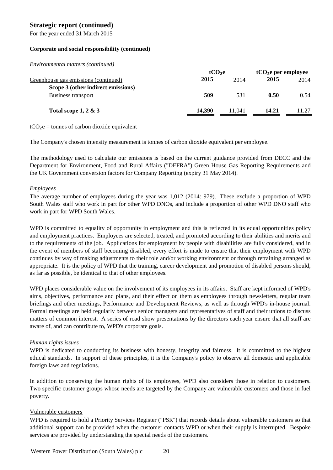For the year ended 31 March 2015

### **Corporate and social responsibility (continued)**

### *Environmental matters (continued)*

|                                                          | tCO <sub>2</sub> e |        | $tCO2e$ per employee |       |
|----------------------------------------------------------|--------------------|--------|----------------------|-------|
| Greenhouse gas emissions (continued)                     | 2015               | 2014   | 2015                 | 2014  |
| Scope 3 (other indirect emissions)<br>Business transport | 509                | 531    | 0.50                 | 0.54  |
|                                                          |                    |        |                      |       |
| Total scope $1, 2 \& 3$                                  | 14,390             | 11.041 | 14.21                | 11.27 |
|                                                          |                    |        |                      |       |

 $tCO<sub>2</sub>e = \text{tonnes of carbon dioxide equivalent}$ 

The Company's chosen intensity measurement is tonnes of carbon dioxide equivalent per employee.

The methodology used to calculate our emissions is based on the current guidance provided from DECC and the Department for Environment, Food and Rural Affairs ("DEFRA") Green House Gas Reporting Requirements and the UK Government conversion factors for Company Reporting (expiry 31 May 2014).

### *Employees*

The average number of employees during the year was 1,012 (2014: 979). These exclude a proportion of WPD South Wales staff who work in part for other WPD DNOs, and include a proportion of other WPD DNO staff who work in part for WPD South Wales.

WPD is committed to equality of opportunity in employment and this is reflected in its equal opportunities policy and employment practices. Employees are selected, treated, and promoted according to their abilities and merits and to the requirements of the job. Applications for employment by people with disabilities are fully considered, and in the event of members of staff becoming disabled, every effort is made to ensure that their employment with WPD continues by way of making adjustments to their role and/or working environment or through retraining arranged as appropriate. It is the policy of WPD that the training, career development and promotion of disabled persons should, as far as possible, be identical to that of other employees.

WPD places considerable value on the involvement of its employees in its affairs. Staff are kept informed of WPD's aims, objectives, performance and plans, and their effect on them as employees through newsletters, regular team briefings and other meetings, Performance and Development Reviews, as well as through WPD's in-house journal. Formal meetings are held regularly between senior managers and representatives of staff and their unions to discuss matters of common interest. A series of road show presentations by the directors each year ensure that all staff are aware of, and can contribute to, WPD's corporate goals.

### *Human rights issues*

WPD is dedicated to conducting its business with honesty, integrity and fairness. It is committed to the highest ethical standards. In support of these principles, it is the Company's policy to observe all domestic and applicable foreign laws and regulations.

In addition to conserving the human rights of its employees, WPD also considers those in relation to customers. Two specific customer groups whose needs are targeted by the Company are vulnerable customers and those in fuel poverty.

### Vulnerable customers

WPD is required to hold a Priority Services Register ("PSR") that records details about vulnerable customers so that additional support can be provided when the customer contacts WPD or when their supply is interrupted. Bespoke services are provided by understanding the special needs of the customers.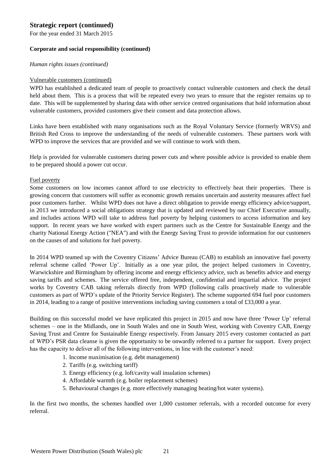For the year ended 31 March 2015

### **Corporate and social responsibility (continued)**

### *Human rights issues (continued)*

### Vulnerable customers (continued)

WPD has established a dedicated team of people to proactively contact vulnerable customers and check the detail held about them. This is a process that will be repeated every two years to ensure that the register remains up to date. This will be supplemented by sharing data with other service centred organisations that hold information about vulnerable customers, provided customers give their consent and data protection allows.

Links have been established with many organisations such as the Royal Voluntary Service (formerly WRVS) and British Red Cross to improve the understanding of the needs of vulnerable customers. These partners work with WPD to improve the services that are provided and we will continue to work with them.

Help is provided for vulnerable customers during power cuts and where possible advice is provided to enable them to be prepared should a power cut occur.

### Fuel poverty

Some customers on low incomes cannot afford to use electricity to effectively heat their properties. There is growing concern that customers will suffer as economic growth remains uncertain and austerity measures affect fuel poor customers further. Whilst WPD does not have a direct obligation to provide energy efficiency advice/support, in 2013 we introduced a social obligations strategy that is updated and reviewed by our Chief Executive annually, and includes actions WPD will take to address fuel poverty by helping customers to access information and key support. In recent years we have worked with expert partners such as the Centre for Sustainable Energy and the charity National Energy Action ("NEA") and with the Energy Saving Trust to provide information for our customers on the causes of and solutions for fuel poverty.

In 2014 WPD teamed up with the Coventry Citizens' Advice Bureau (CAB) to establish an innovative fuel poverty referral scheme called 'Power Up'. Initially as a one year pilot, the project helped customers in Coventry, Warwickshire and Birmingham by offering income and energy efficiency advice, such as benefits advice and energy saving tariffs and schemes. The service offered free, independent, confidential and impartial advice. The project works by Coventry CAB taking referrals directly from WPD (following calls proactively made to vulnerable customers as part of WPD's update of the Priority Service Register). The scheme supported 694 fuel poor customers in 2014, leading to a range of positive interventions including saving customers a total of £33,000 a year.

Building on this successful model we have replicated this project in 2015 and now have three 'Power Up' referral schemes – one in the Midlands, one in South Wales and one in South West, working with Coventry CAB, Energy Saving Trust and Centre for Sustainable Energy respectively. From January 2015 every customer contacted as part of WPD's PSR data cleanse is given the opportunity to be onwardly referred to a partner for support. Every project has the capacity to deliver all of the following interventions, in line with the customer's need:

- 1. Income maximisation (e.g. debt management)
- 2. Tariffs (e.g. switching tariff)
- 3. Energy efficiency (e.g. loft/cavity wall insulation schemes)
- 4. Affordable warmth (e.g. boiler replacement schemes)
- 5. Behavioural changes (e.g. more effectively managing heating/hot water systems).

In the first two months, the schemes handled over 1,000 customer referrals, with a recorded outcome for every referral.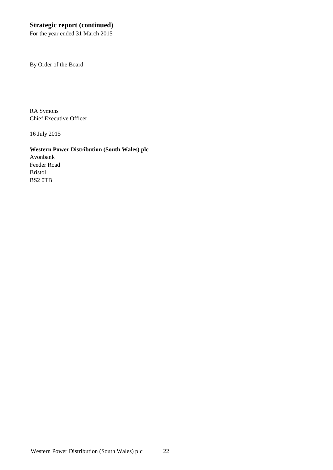For the year ended 31 March 2015

By Order of the Board

RA Symons Chief Executive Officer

16 July 2015

## **Western Power Distribution (South Wales) plc**

Avonbank Feeder Road Bristol BS2 0TB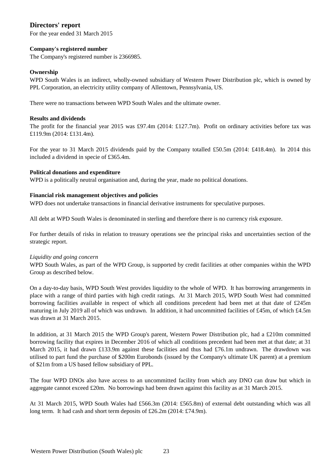# **Directors' report**

For the year ended 31 March 2015

### **Company's registered number**

The Company's registered number is 2366985.

### **Ownership**

WPD South Wales is an indirect, wholly-owned subsidiary of Western Power Distribution plc, which is owned by PPL Corporation, an electricity utility company of Allentown, Pennsylvania, US.

There were no transactions between WPD South Wales and the ultimate owner.

### **Results and dividends**

The profit for the financial year 2015 was £97.4m (2014: £127.7m). Profit on ordinary activities before tax was £119.9m (2014: £131.4m).

For the year to 31 March 2015 dividends paid by the Company totalled £50.5m (2014: £418.4m). In 2014 this included a dividend in specie of £365.4m.

### **Political donations and expenditure**

WPD is a politically neutral organisation and, during the year, made no political donations.

### **Financial risk management objectives and policies**

WPD does not undertake transactions in financial derivative instruments for speculative purposes.

All debt at WPD South Wales is denominated in sterling and therefore there is no currency risk exposure.

For further details of risks in relation to treasury operations see the principal risks and uncertainties section of the strategic report.

### *Liquidity and going concern*

WPD South Wales, as part of the WPD Group, is supported by credit facilities at other companies within the WPD Group as described below.

On a day-to-day basis, WPD South West provides liquidity to the whole of WPD. It has borrowing arrangements in place with a range of third parties with high credit ratings. At 31 March 2015, WPD South West had committed borrowing facilities available in respect of which all conditions precedent had been met at that date of £245m maturing in July 2019 all of which was undrawn. In addition, it had uncommitted facilities of £45m, of which £4.5m was drawn at 31 March 2015.

In addition, at 31 March 2015 the WPD Group's parent, Western Power Distribution plc, had a £210m committed borrowing facility that expires in December 2016 of which all conditions precedent had been met at that date; at 31 March 2015, it had drawn £133.9m against these facilities and thus had £76.1m undrawn. The drawdown was utilised to part fund the purchase of \$200m Eurobonds (issued by the Company's ultimate UK parent) at a premium of \$21m from a US based fellow subsidiary of PPL.

The four WPD DNOs also have access to an uncommitted facility from which any DNO can draw but which in aggregate cannot exceed £20m. No borrowings had been drawn against this facility as at 31 March 2015.

At 31 March 2015, WPD South Wales had £566.3m (2014: £565.8m) of external debt outstanding which was all long term. It had cash and short term deposits of £26.2m (2014: £74.9m).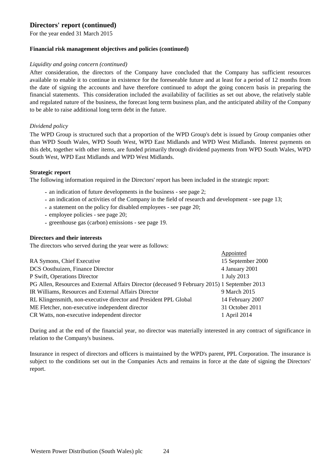# **Directors' report (continued)**

For the year ended 31 March 2015

### **Financial risk management objectives and policies (continued)**

### *Liquidity and going concern (continued)*

After consideration, the directors of the Company have concluded that the Company has sufficient resources available to enable it to continue in existence for the foreseeable future and at least for a period of 12 months from the date of signing the accounts and have therefore continued to adopt the going concern basis in preparing the financial statements. This consideration included the availability of facilities as set out above, the relatively stable and regulated nature of the business, the forecast long term business plan, and the anticipated ability of the Company to be able to raise additional long term debt in the future.

### *Dividend policy*

The WPD Group is structured such that a proportion of the WPD Group's debt is issued by Group companies other than WPD South Wales, WPD South West, WPD East Midlands and WPD West Midlands. Interest payments on this debt, together with other items, are funded primarily through dividend payments from WPD South Wales, WPD South West, WPD East Midlands and WPD West Midlands.

### **Strategic report**

The following information required in the Directors' report has been included in the strategic report:

- **-** an indication of future developments in the business see page 2;
- **-** an indication of activities of the Company in the field of research and development see page 13;
- **-** a statement on the policy for disabled employees see page 20;
- **-** employee policies see page 20;
- **-** greenhouse gas (carbon) emissions see page 19.

### **Directors and their interests**

The directors who served during the year were as follows:

|                                                                                               | Appointed         |
|-----------------------------------------------------------------------------------------------|-------------------|
| RA Symons, Chief Executive                                                                    | 15 September 2000 |
| DCS Oosthuizen, Finance Director                                                              | 4 January 2001    |
| P Swift, Operations Director                                                                  | 1 July 2013       |
| PG Allen, Resources and External Affairs Director (deceased 9 February 2015) 1 September 2013 |                   |
| IR Williams, Resources and External Affairs Director                                          | 9 March 2015      |
| RL Klingensmith, non-executive director and President PPL Global                              | 14 February 2007  |
| ME Fletcher, non-executive independent director                                               | 31 October 2011   |
| CR Watts, non-executive independent director                                                  | 1 April 2014      |

During and at the end of the financial year, no director was materially interested in any contract of significance in relation to the Company's business.

 $\ddotsc$ 

Insurance in respect of directors and officers is maintained by the WPD's parent, PPL Corporation. The insurance is subject to the conditions set out in the Companies Acts and remains in force at the date of signing the Directors' report.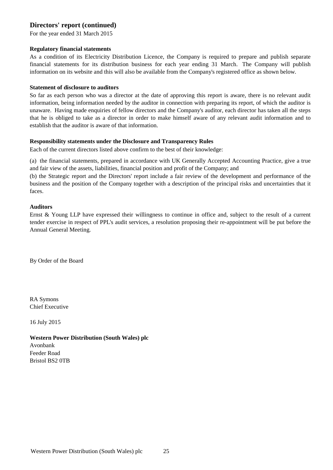## **Directors' report (continued)**

For the year ended 31 March 2015

### **Regulatory financial statements**

As a condition of its Electricity Distribution Licence, the Company is required to prepare and publish separate financial statements for its distribution business for each year ending 31 March. The Company will publish information on its website and this will also be available from the Company's registered office as shown below.

#### **Statement of disclosure to auditors**

So far as each person who was a director at the date of approving this report is aware, there is no relevant audit information, being information needed by the auditor in connection with preparing its report, of which the auditor is unaware. Having made enquiries of fellow directors and the Company's auditor, each director has taken all the steps that he is obliged to take as a director in order to make himself aware of any relevant audit information and to establish that the auditor is aware of that information.

### **Responsibility statements under the Disclosure and Transparency Rules**

Each of the current directors listed above confirm to the best of their knowledge:

(a) the financial statements, prepared in accordance with UK Generally Accepted Accounting Practice, give a true and fair view of the assets, liabilities, financial position and profit of the Company; and

(b) the Strategic report and the Directors' report include a fair review of the development and performance of the business and the position of the Company together with a description of the principal risks and uncertainties that it faces.

#### **Auditors**

Ernst & Young LLP have expressed their willingness to continue in office and, subject to the result of a current tender exercise in respect of PPL's audit services, a resolution proposing their re-appointment will be put before the Annual General Meeting.

By Order of the Board

RA Symons Chief Executive

16 July 2015

**Western Power Distribution (South Wales) plc** Avonbank Feeder Road Bristol BS2 0TB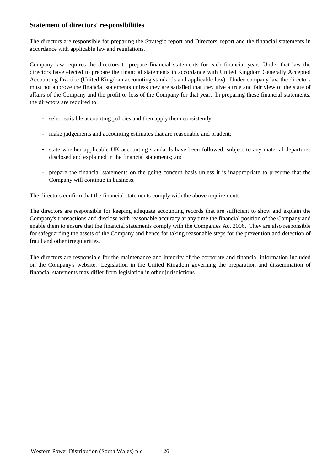## **Statement of directors' responsibilities**

The directors are responsible for preparing the Strategic report and Directors' report and the financial statements in accordance with applicable law and regulations.

Company law requires the directors to prepare financial statements for each financial year. Under that law the directors have elected to prepare the financial statements in accordance with United Kingdom Generally Accepted Accounting Practice (United Kingdom accounting standards and applicable law). Under company law the directors must not approve the financial statements unless they are satisfied that they give a true and fair view of the state of affairs of the Company and the profit or loss of the Company for that year. In preparing these financial statements, the directors are required to:

- select suitable accounting policies and then apply them consistently;
- make judgements and accounting estimates that are reasonable and prudent;
- state whether applicable UK accounting standards have been followed, subject to any material departures disclosed and explained in the financial statements; and
- prepare the financial statements on the going concern basis unless it is inappropriate to presume that the Company will continue in business.

The directors confirm that the financial statements comply with the above requirements.

The directors are responsible for keeping adequate accounting records that are sufficient to show and explain the Company's transactions and disclose with reasonable accuracy at any time the financial position of the Company and enable them to ensure that the financial statements comply with the Companies Act 2006. They are also responsible for safeguarding the assets of the Company and hence for taking reasonable steps for the prevention and detection of fraud and other irregularities.

The directors are responsible for the maintenance and integrity of the corporate and financial information included on the Company's website. Legislation in the United Kingdom governing the preparation and dissemination of financial statements may differ from legislation in other jurisdictions.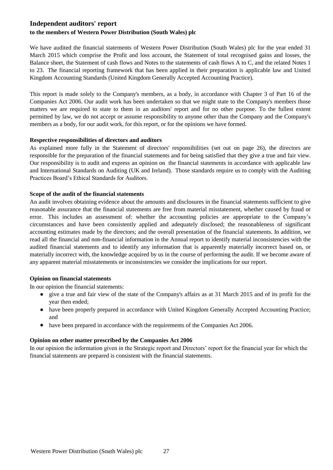### **Independent auditors' report**

### **to the members of Western Power Distribution (South Wales) plc**

We have audited the financial statements of Western Power Distribution (South Wales) plc for the year ended 31 March 2015 which comprise the Profit and loss account, the Statement of total recognised gains and losses, the Balance sheet, the Statement of cash flows and Notes to the statements of cash flows A to C, and the related Notes 1 to 23. The financial reporting framework that has been applied in their preparation is applicable law and United Kingdom Accounting Standards (United Kingdom Generally Accepted Accounting Practice).

This report is made solely to the Company's members, as a body, in accordance with Chapter 3 of Part 16 of the Companies Act 2006. Our audit work has been undertaken so that we might state to the Company's members those matters we are required to state to them in an auditors' report and for no other purpose. To the fullest extent permitted by law, we do not accept or assume responsibility to anyone other than the Company and the Company's members as a body, for our audit work, for this report, or for the opinions we have formed.

### **Respective responsibilities of directors and auditors**

As explained more fully in the Statement of directors' responsibilities (set out on page 26), the directors are responsible for the preparation of the financial statements and for being satisfied that they give a true and fair view. Our responsibility is to audit and express an opinion on the financial statements in accordance with applicable law and International Standards on Auditing (UK and Ireland). Those standards require us to comply with the Auditing Practices Board's Ethical Standards for Auditors.

### **Scope of the audit of the financial statements**

An audit involves obtaining evidence about the amounts and disclosures in the financial statements sufficient to give reasonable assurance that the financial statements are free from material misstatement, whether caused by fraud or error. This includes an assessment of: whether the accounting policies are appropriate to the Company's circumstances and have been consistently applied and adequately disclosed; the reasonableness of significant accounting estimates made by the directors; and the overall presentation of the financial statements. In addition, we read all the financial and non-financial information in the Annual report to identify material inconsistencies with the audited financial statements and to identify any information that is apparently materially incorrect based on, or materially incorrect with, the knowledge acquired by us in the course of performing the audit. If we become aware of any apparent material misstatements or inconsistencies we consider the implications for our report.

### **Opinion on financial statements**

In our opinion the financial statements:

- give a true and fair view of the state of the Company's affairs as at 31 March 2015 and of its profit for the year then ended;
- have been properly prepared in accordance with United Kingdom Generally Accepted Accounting Practice; and
- have been prepared in accordance with the requirements of the Companies Act 2006.

### **Opinion on other matter prescribed by the Companies Act 2006**

In our opinion the information given in the Strategic report and Directors' report for the financial year for which the financial statements are prepared is consistent with the financial statements.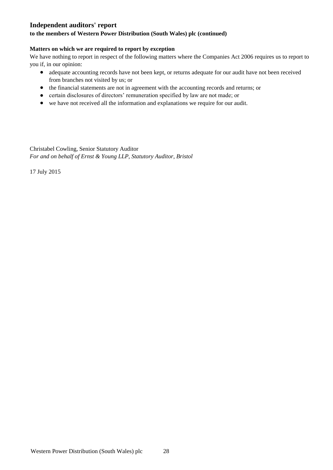# **Independent auditors' report**

### **to the members of Western Power Distribution (South Wales) plc (continued)**

### **Matters on which we are required to report by exception**

We have nothing to report in respect of the following matters where the Companies Act 2006 requires us to report to you if, in our opinion:

- adequate accounting records have not been kept, or returns adequate for our audit have not been received from branches not visited by us; or
- the financial statements are not in agreement with the accounting records and returns; or
- certain disclosures of directors' remuneration specified by law are not made; or
- we have not received all the information and explanations we require for our audit.

*For and on behalf of Ernst & Young LLP, Statutory Auditor, Bristol* Christabel Cowling, Senior Statutory Auditor

17 July 2015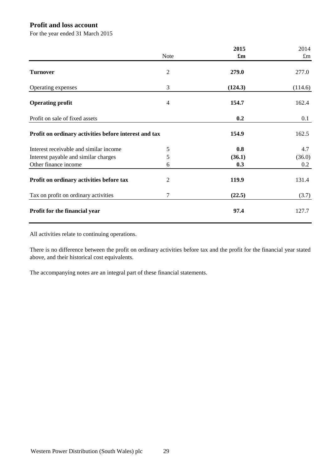# **Profit and loss account**

For the year ended 31 March 2015

|                                                       | <b>Note</b>    | 2015<br>$\mathbf{f}_{\mathbf{m}}$ | 2014<br>$\pounds$ m |
|-------------------------------------------------------|----------------|-----------------------------------|---------------------|
| <b>Turnover</b>                                       | $\overline{2}$ | 279.0                             | 277.0               |
| Operating expenses                                    | 3              | (124.3)                           | (114.6)             |
| <b>Operating profit</b>                               | $\overline{4}$ | 154.7                             | 162.4               |
| Profit on sale of fixed assets                        |                | 0.2                               | 0.1                 |
| Profit on ordinary activities before interest and tax |                | 154.9                             | 162.5               |
| Interest receivable and similar income                | 5              | 0.8                               | 4.7                 |
| Interest payable and similar charges                  | 5              | (36.1)                            | (36.0)              |
| Other finance income                                  | 6              | 0.3                               | 0.2                 |
| Profit on ordinary activities before tax              | 2              | 119.9                             | 131.4               |
| Tax on profit on ordinary activities                  | 7              | (22.5)                            | (3.7)               |
| Profit for the financial year                         |                | 97.4                              | 127.7               |

All activities relate to continuing operations.

There is no difference between the profit on ordinary activities before tax and the profit for the financial year stated above, and their historical cost equivalents.

The accompanying notes are an integral part of these financial statements.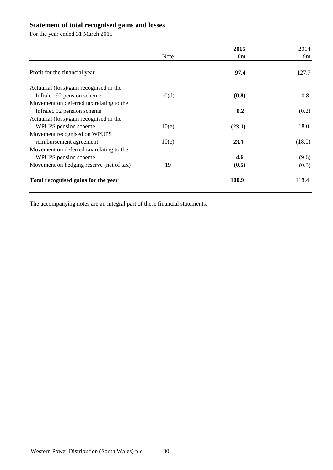# **Statement of total recognised gains and losses**

For the year ended 31 March 2015

|                                          |       | 2015                      | 2014        |
|------------------------------------------|-------|---------------------------|-------------|
|                                          | Note  | $\mathbf{f}_{\mathbf{m}}$ | $\pounds$ m |
| Profit for the financial year            |       | 97.4                      | 127.7       |
| Actuarial (loss)/gain recognised in the  |       |                           |             |
| Infralec 92 pension scheme               | 10(d) | (0.8)                     | 0.8         |
| Movement on deferred tax relating to the |       |                           |             |
| Infralec 92 pension scheme               |       | 0.2                       | (0.2)       |
| Actuarial (loss)/gain recognised in the  |       |                           |             |
| WPUPS pension scheme                     | 10(e) | (23.1)                    | 18.0        |
| Movement recognised on WPUPS             |       |                           |             |
| reimbursement agreement                  | 10(e) | 23.1                      | (18.0)      |
| Movement on deferred tax relating to the |       |                           |             |
| WPUPS pension scheme                     |       | 4.6                       | (9.6)       |
| Movement on hedging reserve (net of tax) | 19    | (0.5)                     | (0.3)       |
| Total recognised gains for the year      |       | 100.9                     | 118.4       |

The accompanying notes are an integral part of these financial statements.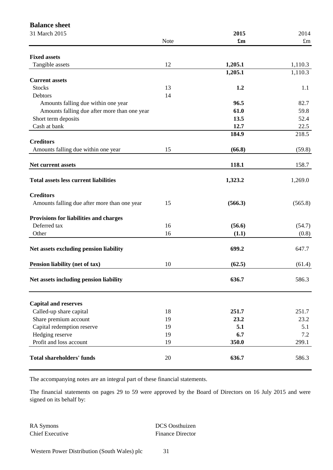| <b>Balance sheet</b>                         |      |                           |             |
|----------------------------------------------|------|---------------------------|-------------|
| 31 March 2015                                |      | 2015                      | 2014        |
|                                              | Note | $\mathbf{f}_{\mathbf{m}}$ | $\pounds$ m |
| <b>Fixed assets</b>                          |      |                           |             |
| Tangible assets                              | 12   | 1,205.1                   | 1,110.3     |
|                                              |      | 1,205.1                   | 1,110.3     |
| <b>Current assets</b>                        |      |                           |             |
| <b>Stocks</b>                                | 13   | 1.2                       | 1.1         |
| Debtors                                      | 14   |                           |             |
| Amounts falling due within one year          |      | 96.5                      | 82.7        |
| Amounts falling due after more than one year |      | 61.0                      | 59.8        |
| Short term deposits                          |      | 13.5                      | 52.4        |
| Cash at bank                                 |      | 12.7                      | 22.5        |
|                                              |      | 184.9                     | 218.5       |
| <b>Creditors</b>                             |      |                           |             |
| Amounts falling due within one year          | 15   | (66.8)                    | (59.8)      |
|                                              |      | 118.1                     | 158.7       |
| Net current assets                           |      |                           |             |
| <b>Total assets less current liabilities</b> |      | 1,323.2                   | 1,269.0     |
| <b>Creditors</b>                             |      |                           |             |
| Amounts falling due after more than one year | 15   | (566.3)                   | (565.8)     |
| Provisions for liabilities and charges       |      |                           |             |
| Deferred tax                                 | 16   | (56.6)                    | (54.7)      |
| Other                                        | 16   | (1.1)                     | (0.8)       |
|                                              |      |                           |             |
| Net assets excluding pension liability       |      | 699.2                     | 647.7       |
| Pension liability (net of tax)               | 10   | (62.5)                    | (61.4)      |
| Net assets including pension liability       |      | 636.7                     | 586.3       |
| <b>Capital and reserves</b>                  |      |                           |             |
| Called-up share capital                      | 18   | 251.7                     | 251.7       |
| Share premium account                        | 19   | 23.2                      | 23.2        |
| Capital redemption reserve                   | 19   | 5.1                       | 5.1         |
| Hedging reserve                              | 19   | 6.7                       | 7.2         |
| Profit and loss account                      | 19   | 350.0                     | 299.1       |
| <b>Total shareholders' funds</b>             | 20   | 636.7                     | 586.3       |

The accompanying notes are an integral part of these financial statements.

The financial statements on pages 29 to 59 were approved by the Board of Directors on 16 July 2015 and were signed on its behalf by:

Chief Executive

RA Symons DCS Oosthuizen Finance Director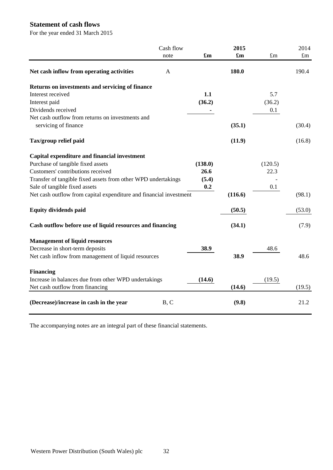# **Statement of cash flows**

For the year ended 31 March 2015

|                                                                    | Cash flow |         | 2015    |             | 2014        |
|--------------------------------------------------------------------|-----------|---------|---------|-------------|-------------|
|                                                                    | note      | £m      | £m      | $\pounds$ m | $\pounds$ m |
| Net cash inflow from operating activities                          | A         |         | 180.0   |             | 190.4       |
| Returns on investments and servicing of finance                    |           |         |         |             |             |
| Interest received                                                  |           | 1.1     |         | 5.7         |             |
| Interest paid                                                      |           | (36.2)  |         | (36.2)      |             |
| Dividends received                                                 |           |         |         | 0.1         |             |
| Net cash outflow from returns on investments and                   |           |         |         |             |             |
| servicing of finance                                               |           |         | (35.1)  |             | (30.4)      |
| Tax/group relief paid                                              |           |         | (11.9)  |             | (16.8)      |
| Capital expenditure and financial investment                       |           |         |         |             |             |
| Purchase of tangible fixed assets                                  |           | (138.0) |         | (120.5)     |             |
| Customers' contributions received                                  |           | 26.6    |         | 22.3        |             |
| Transfer of tangible fixed assets from other WPD undertakings      |           | (5.4)   |         |             |             |
| Sale of tangible fixed assets                                      |           | 0.2     |         | 0.1         |             |
| Net cash outflow from capital expenditure and financial investment |           |         | (116.6) |             | (98.1)      |
| <b>Equity dividends paid</b>                                       |           |         | (50.5)  |             | (53.0)      |
| Cash outflow before use of liquid resources and financing          |           |         | (34.1)  |             | (7.9)       |
| <b>Management of liquid resources</b>                              |           |         |         |             |             |
| Decrease in short-term deposits                                    |           | 38.9    |         | 48.6        |             |
| Net cash inflow from management of liquid resources                |           |         | 38.9    |             | 48.6        |
| <b>Financing</b>                                                   |           |         |         |             |             |
| Increase in balances due from other WPD undertakings               |           | (14.6)  |         | (19.5)      |             |
| Net cash outflow from financing                                    |           |         | (14.6)  |             | (19.5)      |
| (Decrease)/increase in cash in the year                            | B, C      |         | (9.8)   |             | 21.2        |

The accompanying notes are an integral part of these financial statements.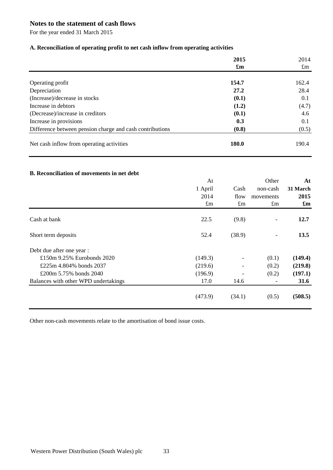# **Notes to the statement of cash flows**

For the year ended 31 March 2015

### **A. Reconciliation of operating profit to net cash inflow from operating activities**

|                                                          | 2015                      | 2014        |
|----------------------------------------------------------|---------------------------|-------------|
|                                                          | $\mathbf{f}_{\mathbf{m}}$ | $\pounds$ m |
|                                                          |                           |             |
| Operating profit                                         | 154.7                     | 162.4       |
| Depreciation                                             | 27.2                      | 28.4        |
| (Increase)/decrease in stocks                            | (0.1)                     | 0.1         |
| Increase in debtors                                      | (1.2)                     | (4.7)       |
| (Decrease)/increase in creditors                         | (0.1)                     | 4.6         |
| Increase in provisions                                   | 0.3                       | 0.1         |
| Difference between pension charge and cash contributions | (0.8)                     | (0.5)       |
| Net cash inflow from operating activities                | <b>180.0</b>              | 190.4       |

### **B. Reconciliation of movements in net debt**

|                                      | At          | Other       |                          | At                        |  |
|--------------------------------------|-------------|-------------|--------------------------|---------------------------|--|
|                                      | 1 April     | Cash        | non-cash                 | 31 March                  |  |
|                                      | 2014        | flow        | movements                | 2015                      |  |
|                                      | $\pounds$ m | $\pounds$ m | $\pounds$ m              | $\mathbf{f}_{\mathbf{m}}$ |  |
| Cash at bank                         | 22.5        | (9.8)       | $\overline{\phantom{a}}$ | 12.7                      |  |
| Short term deposits                  | 52.4        | (38.9)      | $\overline{\phantom{a}}$ | 13.5                      |  |
| Debt due after one year :            |             |             |                          |                           |  |
| £150m $9.25\%$ Eurobonds 2020        | (149.3)     |             | (0.1)                    | (149.4)                   |  |
| £225m 4.804% bonds 2037              | (219.6)     |             | (0.2)                    | (219.8)                   |  |
| £200m 5.75% bonds 2040               | (196.9)     |             | (0.2)                    | (197.1)                   |  |
| Balances with other WPD undertakings | 17.0        | 14.6        | $\overline{\phantom{a}}$ | 31.6                      |  |
|                                      | (473.9)     | (34.1)      | (0.5)                    | (508.5)                   |  |

Other non-cash movements relate to the amortisation of bond issue costs.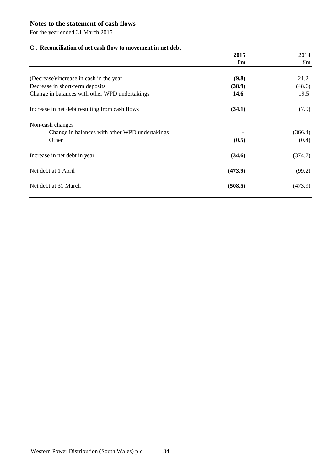# **Notes to the statement of cash flows**

For the year ended 31 March 2015

# **C . Reconciliation of net cash flow to movement in net debt**

|                                                | 2015                      | 2014        |
|------------------------------------------------|---------------------------|-------------|
|                                                | $\mathbf{f}_{\mathbf{m}}$ | $\pounds$ m |
| (Decrease)/increase in cash in the year        | (9.8)                     | 21.2        |
| Decrease in short-term deposits                | (38.9)                    | (48.6)      |
| Change in balances with other WPD undertakings | 14.6                      | 19.5        |
| Increase in net debt resulting from cash flows | (34.1)                    | (7.9)       |
| Non-cash changes                               |                           |             |
| Change in balances with other WPD undertakings |                           | (366.4)     |
| Other                                          | (0.5)                     | (0.4)       |
| Increase in net debt in year                   | (34.6)                    | (374.7)     |
| Net debt at 1 April                            | (473.9)                   | (99.2)      |
| Net debt at 31 March                           | (508.5)                   | (473.9)     |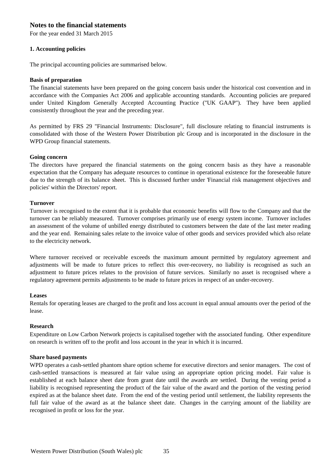For the year ended 31 March 2015

### **1. Accounting policies**

The principal accounting policies are summarised below.

### **Basis of preparation**

The financial statements have been prepared on the going concern basis under the historical cost convention and in accordance with the Companies Act 2006 and applicable accounting standards. Accounting policies are prepared under United Kingdom Generally Accepted Accounting Practice ("UK GAAP"). They have been applied consistently throughout the year and the preceding year.

As permitted by FRS 29 "Financial Instruments: Disclosure", full disclosure relating to financial instruments is consolidated with those of the Western Power Distribution plc Group and is incorporated in the disclosure in the WPD Group financial statements.

### **Going concern**

The directors have prepared the financial statements on the going concern basis as they have a reasonable expectation that the Company has adequate resources to continue in operational existence for the foreseeable future due to the strength of its balance sheet. This is discussed further under 'Financial risk management objectives and policies' within the Directors' report.

#### **Turnover**

Turnover is recognised to the extent that it is probable that economic benefits will flow to the Company and that the turnover can be reliably measured. Turnover comprises primarily use of energy system income. Turnover includes an assessment of the volume of unbilled energy distributed to customers between the date of the last meter reading and the year end. Remaining sales relate to the invoice value of other goods and services provided which also relate to the electricity network.

Where turnover received or receivable exceeds the maximum amount permitted by regulatory agreement and adjustments will be made to future prices to reflect this over-recovery, no liability is recognised as such an adjustment to future prices relates to the provision of future services. Similarly no asset is recognised where a regulatory agreement permits adjustments to be made to future prices in respect of an under-recovery.

#### **Leases**

Rentals for operating leases are charged to the profit and loss account in equal annual amounts over the period of the lease.

### **Research**

Expenditure on Low Carbon Network projects is capitalised together with the associated funding. Other expenditure on research is written off to the profit and loss account in the year in which it is incurred.

### **Share based payments**

WPD operates a cash-settled phantom share option scheme for executive directors and senior managers. The cost of cash-settled transactions is measured at fair value using an appropriate option pricing model. Fair value is established at each balance sheet date from grant date until the awards are settled. During the vesting period a liability is recognised representing the product of the fair value of the award and the portion of the vesting period expired as at the balance sheet date. From the end of the vesting period until settlement, the liability represents the full fair value of the award as at the balance sheet date. Changes in the carrying amount of the liability are recognised in profit or loss for the year.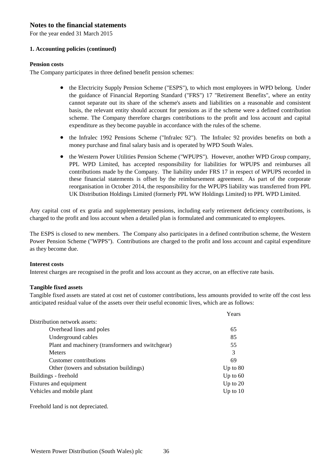For the year ended 31 March 2015

### **1. Accounting policies (continued)**

### **Pension costs**

The Company participates in three defined benefit pension schemes:

- the Electricity Supply Pension Scheme ("ESPS"), to which most employees in WPD belong. Under the guidance of Financial Reporting Standard ("FRS") 17 "Retirement Benefits", where an entity cannot separate out its share of the scheme's assets and liabilities on a reasonable and consistent basis, the relevant entity should account for pensions as if the scheme were a defined contribution scheme. The Company therefore charges contributions to the profit and loss account and capital expenditure as they become payable in accordance with the rules of the scheme.
- the Infralec 1992 Pensions Scheme ("Infralec 92"). The Infralec 92 provides benefits on both a money purchase and final salary basis and is operated by WPD South Wales.
- the Western Power Utilities Pension Scheme ("WPUPS"). However, another WPD Group company, PPL WPD Limited, has accepted responsibility for liabilities for WPUPS and reimburses all contributions made by the Company. The liability under FRS 17 in respect of WPUPS recorded in these financial statements is offset by the reimbursement agreement. As part of the corporate reorganisation in October 2014, the responsibility for the WPUPS liability was transferred from PPL UK Distribution Holdings Limited (formerly PPL WW Holdings Limited) to PPL WPD Limited.

Any capital cost of ex gratia and supplementary pensions, including early retirement deficiency contributions, is charged to the profit and loss account when a detailed plan is formulated and communicated to employees.

The ESPS is closed to new members. The Company also participates in a defined contribution scheme, the Western Power Pension Scheme ("WPPS"). Contributions are charged to the profit and loss account and capital expenditure as they become due.

### **Interest costs**

Interest charges are recognised in the profit and loss account as they accrue, on an effective rate basis.

### **Tangible fixed assets**

Tangible fixed assets are stated at cost net of customer contributions, less amounts provided to write off the cost less anticipated residual value of the assets over their useful economic lives, which are as follows:

|                                                   | Years      |
|---------------------------------------------------|------------|
| Distribution network assets:                      |            |
| Overhead lines and poles                          | 65         |
| Underground cables                                | 85         |
| Plant and machinery (transformers and switchgear) | 55         |
| <b>Meters</b>                                     | 3          |
| Customer contributions                            | 69         |
| Other (towers and substation buildings)           | Up to $80$ |
| Buildings - freehold                              | Up to $60$ |
| Fixtures and equipment                            | Up to $20$ |
| Vehicles and mobile plant                         | Up to $10$ |
|                                                   |            |

Freehold land is not depreciated.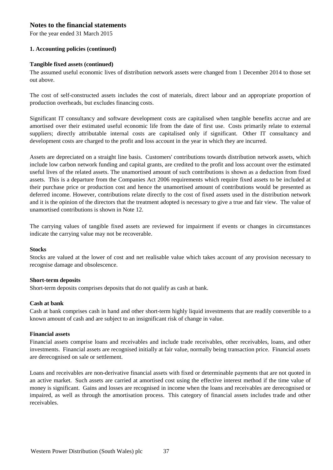For the year ended 31 March 2015

### **1. Accounting policies (continued)**

### **Tangible fixed assets (continued)**

The assumed useful economic lives of distribution network assets were changed from 1 December 2014 to those set out above.

The cost of self-constructed assets includes the cost of materials, direct labour and an appropriate proportion of production overheads, but excludes financing costs.

Significant IT consultancy and software development costs are capitalised when tangible benefits accrue and are amortised over their estimated useful economic life from the date of first use. Costs primarily relate to external suppliers; directly attributable internal costs are capitalised only if significant. Other IT consultancy and development costs are charged to the profit and loss account in the year in which they are incurred.

Assets are depreciated on a straight line basis. Customers' contributions towards distribution network assets, which include low carbon network funding and capital grants, are credited to the profit and loss account over the estimated useful lives of the related assets. The unamortised amount of such contributions is shown as a deduction from fixed assets. This is a departure from the Companies Act 2006 requirements which require fixed assets to be included at their purchase price or production cost and hence the unamortised amount of contributions would be presented as deferred income. However, contributions relate directly to the cost of fixed assets used in the distribution network and it is the opinion of the directors that the treatment adopted is necessary to give a true and fair view. The value of unamortised contributions is shown in Note 12.

The carrying values of tangible fixed assets are reviewed for impairment if events or changes in circumstances indicate the carrying value may not be recoverable.

### **Stocks**

Stocks are valued at the lower of cost and net realisable value which takes account of any provision necessary to recognise damage and obsolescence.

### **Short-term deposits**

Short-term deposits comprises deposits that do not qualify as cash at bank.

### **Cash at bank**

Cash at bank comprises cash in hand and other short-term highly liquid investments that are readily convertible to a known amount of cash and are subject to an insignificant risk of change in value.

#### **Financial assets**

Financial assets comprise loans and receivables and include trade receivables, other receivables, loans, and other investments. Financial assets are recognised initially at fair value, normally being transaction price. Financial assets are derecognised on sale or settlement.

Loans and receivables are non-derivative financial assets with fixed or determinable payments that are not quoted in an active market. Such assets are carried at amortised cost using the effective interest method if the time value of money is significant. Gains and losses are recognised in income when the loans and receivables are derecognised or impaired, as well as through the amortisation process. This category of financial assets includes trade and other receivables.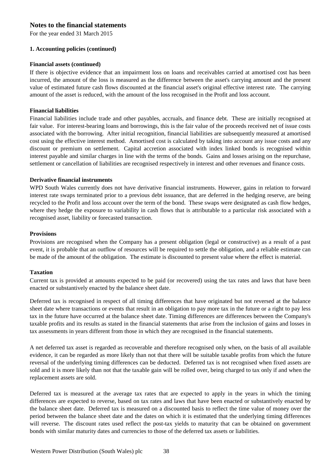For the year ended 31 March 2015

### **1. Accounting policies (continued)**

### **Financial assets (continued)**

If there is objective evidence that an impairment loss on loans and receivables carried at amortised cost has been incurred, the amount of the loss is measured as the difference between the asset's carrying amount and the present value of estimated future cash flows discounted at the financial asset's original effective interest rate. The carrying amount of the asset is reduced, with the amount of the loss recognised in the Profit and loss account.

### **Financial liabilities**

Financial liabilities include trade and other payables, accruals, and finance debt. These are initially recognised at fair value. For interest-bearing loans and borrowings, this is the fair value of the proceeds received net of issue costs associated with the borrowing. After initial recognition, financial liabilities are subsequently measured at amortised cost using the effective interest method. Amortised cost is calculated by taking into account any issue costs and any discount or premium on settlement. Capital accretion associated with index linked bonds is recognised within interest payable and similar charges in line with the terms of the bonds. Gains and losses arising on the repurchase, settlement or cancellation of liabilities are recognised respectively in interest and other revenues and finance costs.

### **Derivative financial instruments**

WPD South Wales currently does not have derivative financial instruments. However, gains in relation to forward interest rate swaps terminated prior to a previous debt issuance, that are deferred in the hedging reserve, are being recycled to the Profit and loss account over the term of the bond. These swaps were designated as cash flow hedges, where they hedge the exposure to variability in cash flows that is attributable to a particular risk associated with a recognised asset, liability or forecasted transaction.

### **Provisions**

Provisions are recognised when the Company has a present obligation (legal or constructive) as a result of a past event, it is probable that an outflow of resources will be required to settle the obligation, and a reliable estimate can be made of the amount of the obligation. The estimate is discounted to present value where the effect is material.

### **Taxation**

Current tax is provided at amounts expected to be paid (or recovered) using the tax rates and laws that have been enacted or substantively enacted by the balance sheet date.

Deferred tax is recognised in respect of all timing differences that have originated but not reversed at the balance sheet date where transactions or events that result in an obligation to pay more tax in the future or a right to pay less tax in the future have occurred at the balance sheet date. Timing differences are differences between the Company's taxable profits and its results as stated in the financial statements that arise from the inclusion of gains and losses in tax assessments in years different from those in which they are recognised in the financial statements.

A net deferred tax asset is regarded as recoverable and therefore recognised only when, on the basis of all available evidence, it can be regarded as more likely than not that there will be suitable taxable profits from which the future reversal of the underlying timing differences can be deducted. Deferred tax is not recognised when fixed assets are sold and it is more likely than not that the taxable gain will be rolled over, being charged to tax only if and when the replacement assets are sold.

Deferred tax is measured at the average tax rates that are expected to apply in the years in which the timing differences are expected to reverse, based on tax rates and laws that have been enacted or substantively enacted by the balance sheet date. Deferred tax is measured on a discounted basis to reflect the time value of money over the period between the balance sheet date and the dates on which it is estimated that the underlying timing differences will reverse. The discount rates used reflect the post-tax yields to maturity that can be obtained on government bonds with similar maturity dates and currencies to those of the deferred tax assets or liabilities.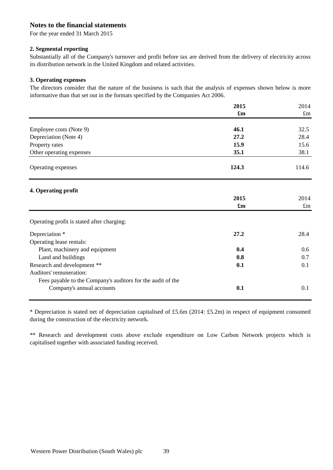For the year ended 31 March 2015

### **2. Segmental reporting**

Substantially all of the Company's turnover and profit before tax are derived from the delivery of electricity across its distribution network in the United Kingdom and related activities.

### **3. Operating expenses**

The directors consider that the nature of the business is such that the analysis of expenses shown below is more informative than that set out in the formats specified by the Companies Act 2006.

|                                                             | 2015  | 2014        |
|-------------------------------------------------------------|-------|-------------|
|                                                             | £m    | $\pounds$ m |
|                                                             |       |             |
| Employee costs (Note 9)                                     | 46.1  | 32.5        |
| Depreciation (Note 4)                                       | 27.2  | 28.4        |
| Property rates                                              | 15.9  | 15.6        |
| Other operating expenses                                    | 35.1  | 38.1        |
| Operating expenses                                          | 124.3 | 114.6       |
| 4. Operating profit                                         |       |             |
|                                                             | 2015  | 2014        |
|                                                             | £m    | $\pounds$ m |
| Operating profit is stated after charging:                  |       |             |
| Depreciation *                                              | 27.2  | 28.4        |
| Operating lease rentals:                                    |       |             |
| Plant, machinery and equipment                              | 0.4   | 0.6         |
| Land and buildings                                          | 0.8   | 0.7         |
| Research and development **                                 | 0.1   | 0.1         |
| Auditors' remuneration:                                     |       |             |
| Fees payable to the Company's auditors for the audit of the |       |             |
| Company's annual accounts                                   | 0.1   | 0.1         |

\* Depreciation is stated net of depreciation capitalised of £5.6m (2014: £5.2m) in respect of equipment consumed during the construction of the electricity network.

\*\* Research and development costs above exclude expenditure on Low Carbon Network projects which is capitalised together with associated funding received.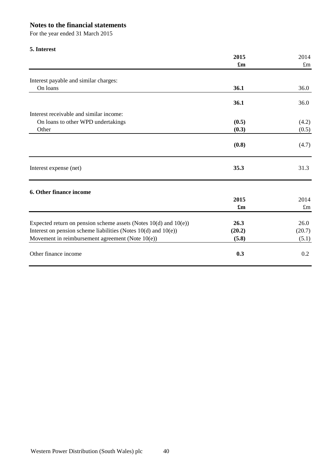For the year ended 31 March 2015

# **5. Interest**

|                                                                       | 2015                      | 2014        |
|-----------------------------------------------------------------------|---------------------------|-------------|
|                                                                       | $\mathbf{f}_{\mathbf{m}}$ | $\pounds$ m |
| Interest payable and similar charges:                                 |                           |             |
| On loans                                                              | 36.1                      | 36.0        |
|                                                                       | 36.1                      | 36.0        |
| Interest receivable and similar income:                               |                           |             |
| On loans to other WPD undertakings                                    | (0.5)                     | (4.2)       |
| Other                                                                 | (0.3)                     | (0.5)       |
|                                                                       | (0.8)                     | (4.7)       |
| Interest expense (net)                                                | 35.3                      | 31.3        |
| 6. Other finance income                                               |                           |             |
|                                                                       | 2015                      | 2014        |
|                                                                       | $\mathbf{f}_{\mathbf{m}}$ | $\pounds$ m |
| Expected return on pension scheme assets (Notes $10(d)$ and $10(e)$ ) | 26.3                      | 26.0        |
| Interest on pension scheme liabilities (Notes $10(d)$ and $10(e)$ )   | (20.2)                    | (20.7)      |
| Movement in reimbursement agreement (Note 10(e))                      | (5.8)                     | (5.1)       |
| Other finance income                                                  | 0.3                       | 0.2         |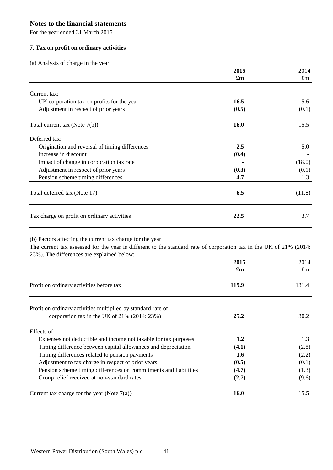For the year ended 31 March 2015

### **7. Tax on profit on ordinary activities**

(a) Analysis of charge in the year

|                                                | 2015                      | 2014        |
|------------------------------------------------|---------------------------|-------------|
|                                                | $\mathbf{f}_{\mathbf{m}}$ | $\pounds$ m |
| Current tax:                                   |                           |             |
| UK corporation tax on profits for the year     | 16.5                      | 15.6        |
| Adjustment in respect of prior years           | (0.5)                     | (0.1)       |
| Total current tax (Note 7(b))                  | <b>16.0</b>               | 15.5        |
| Deferred tax:                                  |                           |             |
| Origination and reversal of timing differences | 2.5                       | 5.0         |
| Increase in discount                           | (0.4)                     |             |
| Impact of change in corporation tax rate       |                           | (18.0)      |
| Adjustment in respect of prior years           | (0.3)                     | (0.1)       |
| Pension scheme timing differences              | 4.7                       | 1.3         |
| Total deferred tax (Note 17)                   | 6.5                       | (11.8)      |
| Tax charge on profit on ordinary activities    | 22.5                      | 3.7         |
|                                                |                           |             |

(b) Factors affecting the current tax charge for the year

The current tax assessed for the year is different to the standard rate of corporation tax in the UK of 21% (2014: 23%). The differences are explained below:

|                                                                  | 2015<br>$\mathbf{f}_{\mathbf{m}}$ | 2014<br>$\pounds$ m |
|------------------------------------------------------------------|-----------------------------------|---------------------|
| Profit on ordinary activities before tax                         | 119.9                             | 131.4               |
| Profit on ordinary activities multiplied by standard rate of     |                                   |                     |
| corporation tax in the UK of $21\%$ (2014: 23%)                  | 25.2                              | 30.2                |
| Effects of:                                                      |                                   |                     |
| Expenses not deductible and income not taxable for tax purposes  | 1.2                               | 1.3                 |
| Timing difference between capital allowances and depreciation    | (4.1)                             | (2.8)               |
| Timing differences related to pension payments                   | 1.6                               | (2.2)               |
| Adjustment to tax charge in respect of prior years               | (0.5)                             | (0.1)               |
| Pension scheme timing differences on commitments and liabilities | (4.7)                             | (1.3)               |
| Group relief received at non-standard rates                      | (2.7)                             | (9.6)               |
| Current tax charge for the year (Note $7(a)$ )                   | <b>16.0</b>                       | 15.5                |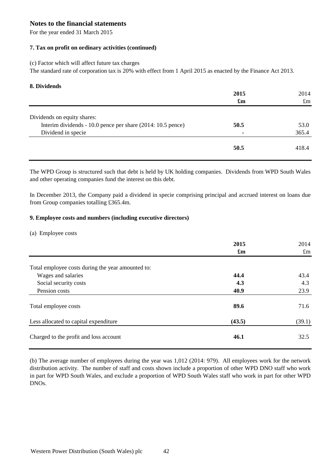For the year ended 31 March 2015

### **7. Tax on profit on ordinary activities (continued)**

(c) Factor which will affect future tax charges

The standard rate of corporation tax is 20% with effect from 1 April 2015 as enacted by the Finance Act 2013.

### **8. Dividends**

|                                                             | 2015<br>$\mathbf{f}_{\mathbf{m}}$ | 2014<br>$\pounds$ m |
|-------------------------------------------------------------|-----------------------------------|---------------------|
| Dividends on equity shares:                                 |                                   |                     |
| Interim dividends - 10.0 pence per share (2014: 10.5 pence) | 50.5                              | 53.0                |
| Dividend in specie                                          | $\blacksquare$                    | 365.4               |
|                                                             | 50.5                              | 418.4               |

The WPD Group is structured such that debt is held by UK holding companies. Dividends from WPD South Wales and other operating companies fund the interest on this debt.

In December 2013, the Company paid a dividend in specie comprising principal and accrued interest on loans due from Group companies totalling £365.4m.

### **9. Employee costs and numbers (including executive directors)**

(a) Employee costs

|                                                   | 2015                      | 2014        |
|---------------------------------------------------|---------------------------|-------------|
|                                                   | $\mathbf{f}_{\mathbf{m}}$ | $\pounds$ m |
|                                                   |                           |             |
| Total employee costs during the year amounted to: |                           |             |
| Wages and salaries                                | 44.4                      | 43.4        |
| Social security costs                             | 4.3                       | 4.3         |
| Pension costs                                     | 40.9                      | 23.9        |
| Total employee costs                              | 89.6                      | 71.6        |
| Less allocated to capital expenditure             | (43.5)                    | (39.1)      |
| Charged to the profit and loss account            | 46.1                      | 32.5        |

(b) The average number of employees during the year was 1,012 (2014: 979). All employees work for the network distribution activity. The number of staff and costs shown include a proportion of other WPD DNO staff who work in part for WPD South Wales, and exclude a proportion of WPD South Wales staff who work in part for other WPD DNOs.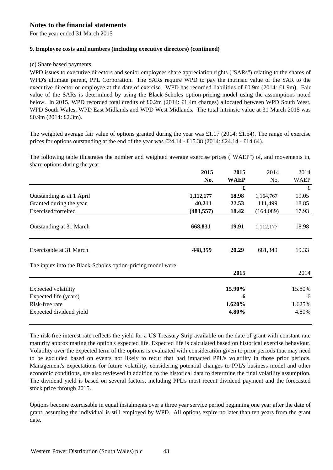For the year ended 31 March 2015

### **9. Employee costs and numbers (including executive directors) (continued)**

### (c) Share based payments

WPD issues to executive directors and senior employees share appreciation rights ("SARs") relating to the shares of WPD's ultimate parent, PPL Corporation. The SARs require WPD to pay the intrinsic value of the SAR to the executive director or employee at the date of exercise. WPD has recorded liabilities of £0.9m (2014: £1.9m). Fair value of the SARs is determined by using the Black-Scholes option-pricing model using the assumptions noted below. In 2015, WPD recorded total credits of £0.2m (2014: £1.4m charges) allocated between WPD South West, WPD South Wales, WPD East Midlands and WPD West Midlands. The total intrinsic value at 31 March 2015 was £0.9m (2014: £2.3m).

The weighted average fair value of options granted during the year was £1.17 (2014: £1.54). The range of exercise prices for options outstanding at the end of the year was £24.14 - £15.38 (2014: £24.14 - £14.64).

The following table illustrates the number and weighted average exercise prices ("WAEP") of, and movements in, share options during the year:

|                                                              | 2015       | 2015                 | 2014      | 2014        |
|--------------------------------------------------------------|------------|----------------------|-----------|-------------|
|                                                              | No.        | <b>WAEP</b>          | No.       | <b>WAEP</b> |
|                                                              |            | $\pmb{\mathfrak{L}}$ |           | £           |
| Outstanding as at 1 April                                    | 1,112,177  | 18.98                | 1,164,767 | 19.05       |
| Granted during the year                                      | 40,211     | 22.53                | 111,499   | 18.85       |
| Exercised/forfeited                                          | (483, 557) | 18.42                | (164,089) | 17.93       |
| Outstanding at 31 March                                      | 668,831    | 19.91                | 1,112,177 | 18.98       |
| Exercisable at 31 March                                      | 448,359    | 20.29                | 681,349   | 19.33       |
| The inputs into the Black-Scholes option-pricing model were: |            | 2015                 |           | 2014        |
| Expected volatility                                          |            | 15.90%               |           | 15.80%      |
| Expected life (years)                                        |            | 6                    |           | 6           |
| Risk-free rate                                               |            | 1.620%               |           | 1.625%      |
| Expected dividend yield                                      |            | 4.80%                |           | 4.80%       |

The risk-free interest rate reflects the yield for a US Treasury Strip available on the date of grant with constant rate maturity approximating the option's expected life. Expected life is calculated based on historical exercise behaviour. Volatility over the expected term of the options is evaluated with consideration given to prior periods that may need to be excluded based on events not likely to recur that had impacted PPL's volatility in those prior periods. Management's expectations for future volatility, considering potential changes to PPL's business model and other economic conditions, are also reviewed in addition to the historical data to determine the final volatility assumption. The dividend yield is based on several factors, including PPL's most recent dividend payment and the forecasted stock price through 2015.

Options become exercisable in equal instalments over a three year service period beginning one year after the date of grant, assuming the individual is still employed by WPD. All options expire no later than ten years from the grant date.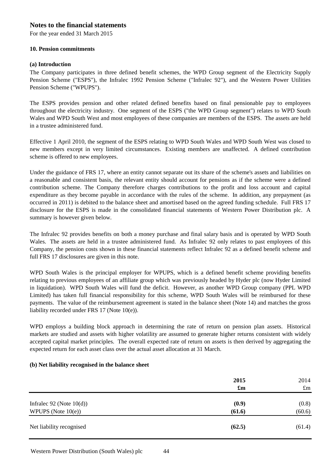For the year ended 31 March 2015

### **10. Pension commitments**

### **(a) Introduction**

The Company participates in three defined benefit schemes, the WPD Group segment of the Electricity Supply Pension Scheme ("ESPS"), the Infralec 1992 Pension Scheme ("Infralec 92"), and the Western Power Utilities Pension Scheme ("WPUPS").

The ESPS provides pension and other related defined benefits based on final pensionable pay to employees throughout the electricity industry. One segment of the ESPS ("the WPD Group segment") relates to WPD South Wales and WPD South West and most employees of these companies are members of the ESPS. The assets are held in a trustee administered fund.

Effective 1 April 2010, the segment of the ESPS relating to WPD South Wales and WPD South West was closed to new members except in very limited circumstances. Existing members are unaffected. A defined contribution scheme is offered to new employees.

Under the guidance of FRS 17, where an entity cannot separate out its share of the scheme's assets and liabilities on a reasonable and consistent basis, the relevant entity should account for pensions as if the scheme were a defined contribution scheme. The Company therefore charges contributions to the profit and loss account and capital expenditure as they become payable in accordance with the rules of the scheme. In addition, any prepayment (as occurred in 2011) is debited to the balance sheet and amortised based on the agreed funding schedule. Full FRS 17 disclosure for the ESPS is made in the consolidated financial statements of Western Power Distribution plc. A summary is however given below.

The Infralec 92 provides benefits on both a money purchase and final salary basis and is operated by WPD South Wales. The assets are held in a trustee administered fund. As Infralec 92 only relates to past employees of this Company, the pension costs shown in these financial statements reflect Infralec 92 as a defined benefit scheme and full FRS 17 disclosures are given in this note.

WPD South Wales is the principal employer for WPUPS, which is a defined benefit scheme providing benefits relating to previous employees of an affiliate group which was previously headed by Hyder plc (now Hyder Limited in liquidation). WPD South Wales will fund the deficit. However, as another WPD Group company (PPL WPD Limited) has taken full financial responsibility for this scheme, WPD South Wales will be reimbursed for these payments. The value of the reimbursement agreement is stated in the balance sheet (Note 14) and matches the gross liability recorded under FRS 17 (Note 10(e)).

WPD employs a building block approach in determining the rate of return on pension plan assets. Historical markets are studied and assets with higher volatility are assumed to generate higher returns consistent with widely accepted capital market principles. The overall expected rate of return on assets is then derived by aggregating the expected return for each asset class over the actual asset allocation at 31 March.

### **(b) Net liability recognised in the balance sheet**

|                                                      | 2015<br>$\mathbf{f}_{\mathbf{m}}$ | 2014<br>$\pounds$ m |
|------------------------------------------------------|-----------------------------------|---------------------|
| Infralec 92 (Note $10(d)$ )<br>WPUPS (Note $10(e)$ ) | (0.9)<br>(61.6)                   | (0.8)<br>(60.6)     |
| Net liability recognised                             | (62.5)                            | (61.4)              |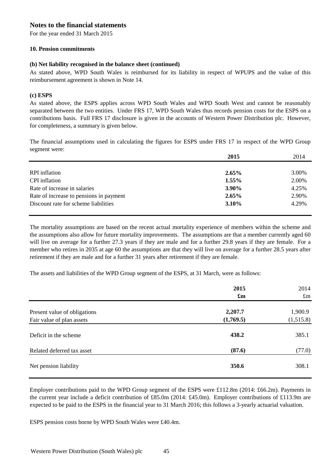For the year ended 31 March 2015

### **10. Pension commitments**

### **(b) Net liability recognised in the balance sheet (continued)**

As stated above, WPD South Wales is reimbursed for its liability in respect of WPUPS and the value of this reimbursement agreement is shown in Note 14.

### **(c) ESPS**

As stated above, the ESPS applies across WPD South Wales and WPD South West and cannot be reasonably separated between the two entities. Under FRS 17, WPD South Wales thus records pension costs for the ESPS on a contributions basis. Full FRS 17 disclosure is given in the accounts of Western Power Distribution plc. However, for completeness, a summary is given below.

The financial assumptions used in calculating the figures for ESPS under FRS 17 in respect of the WPD Group segment were:

|                                         | 2015     | 2014  |
|-----------------------------------------|----------|-------|
|                                         |          |       |
| <b>RPI</b> inflation                    | $2.65\%$ | 3.00% |
| <b>CPI</b> inflation                    | 1.55%    | 2.00% |
| Rate of increase in salaries            | 3.90%    | 4.25% |
| Rate of increase to pensions in payment | $2.65\%$ | 2.90% |
| Discount rate for scheme liabilities    | 3.10%    | 4.29% |
|                                         |          |       |

The mortality assumptions are based on the recent actual mortality experience of members within the scheme and the assumptions also allow for future mortality improvements. The assumptions are that a member currently aged 60 will live on average for a further 27.3 years if they are male and for a further 29.8 years if they are female. For a member who retires in 2035 at age 60 the assumptions are that they will live on average for a further 28.5 years after retirement if they are male and for a further 31 years after retirement if they are female.

The assets and liabilities of the WPD Group segment of the ESPS, at 31 March, were as follows:

|                                                           | 2015<br>$\mathbf{f}_{\mathbf{m}}$ | 2014<br>$\pounds$ m  |
|-----------------------------------------------------------|-----------------------------------|----------------------|
| Present value of obligations<br>Fair value of plan assets | 2,207.7<br>(1,769.5)              | 1,900.9<br>(1,515.8) |
| Deficit in the scheme                                     | 438.2                             | 385.1                |
| Related deferred tax asset                                | (87.6)                            | (77.0)               |
| Net pension liability                                     | 350.6                             | 308.1                |

Employer contributions paid to the WPD Group segment of the ESPS were £112.8m (2014: £66.2m). Payments in the current year include a deficit contribution of £85.0m (2014: £45.0m). Employer contributions of £113.9m are expected to be paid to the ESPS in the financial year to 31 March 2016; this follows a 3-yearly actuarial valuation.

ESPS pension costs borne by WPD South Wales were £40.4m.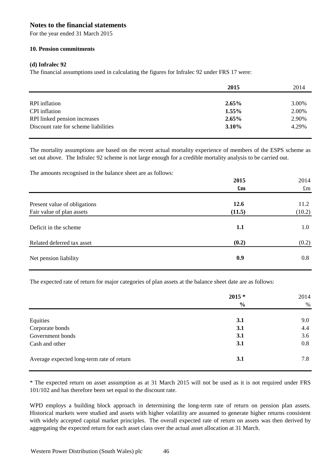For the year ended 31 March 2015

### **10. Pension commitments**

### **(d) Infralec 92**

The financial assumptions used in calculating the figures for Infralec 92 under FRS 17 were:

|                                      | 2015     | 2014  |
|--------------------------------------|----------|-------|
|                                      |          |       |
| RPI inflation                        | $2.65\%$ | 3.00% |
| CPI inflation                        | 1.55%    | 2.00% |
| RPI linked pension increases         | $2.65\%$ | 2.90% |
| Discount rate for scheme liabilities | 3.10%    | 4.29% |

The mortality assumptions are based on the recent actual mortality experience of members of the ESPS scheme as set out above. The Infralec 92 scheme is not large enough for a credible mortality analysis to be carried out.

The amounts recognised in the balance sheet are as follows:

|                              | 2015<br>$\mathbf{f}_{\mathbf{m}}$ | 2014<br>$\pounds$ m |
|------------------------------|-----------------------------------|---------------------|
|                              |                                   |                     |
| Present value of obligations | 12.6                              | 11.2                |
| Fair value of plan assets    | (11.5)                            | (10.2)              |
| Deficit in the scheme        | 1.1                               | 1.0                 |
| Related deferred tax asset   | (0.2)                             | (0.2)               |
| Net pension liability        | 0.9                               | 0.8                 |

The expected rate of return for major categories of plan assets at the balance sheet date are as follows:

|                                           | $2015*$<br>$\frac{0}{0}$ | 2014<br>$\%$ |
|-------------------------------------------|--------------------------|--------------|
| Equities                                  | 3.1                      | 9.0          |
| Corporate bonds                           | 3.1                      | 4.4          |
| Government bonds                          | 3.1                      | 3.6          |
| Cash and other                            | 3.1                      | 0.8          |
| Average expected long-term rate of return | 3.1                      | 7.8          |

\* The expected return on asset assumption as at 31 March 2015 will not be used as it is not required under FRS 101/102 and has therefore been set equal to the discount rate.

WPD employs a building block approach in determining the long-term rate of return on pension plan assets. Historical markets were studied and assets with higher volatility are assumed to generate higher returns consistent with widely accepted capital market principles. The overall expected rate of return on assets was then derived by aggregating the expected return for each asset class over the actual asset allocation at 31 March.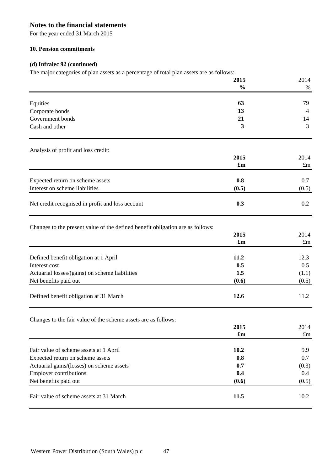For the year ended 31 March 2015

### **10. Pension commitments**

### **(d) Infralec 92 (continued)**

The major categories of plan assets as a percentage of total plan assets are as follows:

|                                                                                | 2015                      | 2014        |
|--------------------------------------------------------------------------------|---------------------------|-------------|
|                                                                                | $\frac{0}{0}$             | %           |
|                                                                                |                           |             |
| Equities                                                                       | 63                        | 79          |
| Corporate bonds                                                                | 13                        | 4           |
| Government bonds                                                               | 21                        | 14          |
| Cash and other                                                                 | 3                         | 3           |
| Analysis of profit and loss credit:                                            |                           |             |
|                                                                                | 2015                      | 2014        |
|                                                                                | $\mathbf{f}_{\mathbf{m}}$ | $\pounds$ m |
|                                                                                |                           |             |
| Expected return on scheme assets                                               | 0.8                       | 0.7         |
| Interest on scheme liabilities                                                 | (0.5)                     | (0.5)       |
| Net credit recognised in profit and loss account                               | 0.3                       | 0.2         |
| Changes to the present value of the defined benefit obligation are as follows: |                           |             |
|                                                                                | 2015                      | 2014        |
|                                                                                | $\mathbf{f}_{\mathbf{m}}$ | $\pounds$ m |
|                                                                                |                           |             |
| Defined benefit obligation at 1 April                                          | 11.2                      | 12.3        |
| Interest cost                                                                  | 0.5                       | 0.5         |
| Actuarial losses/(gains) on scheme liabilities                                 | 1.5                       | (1.1)       |
| Net benefits paid out                                                          | (0.6)                     | (0.5)       |
|                                                                                |                           |             |
| Defined benefit obligation at 31 March                                         | 12.6                      | 11.2        |
| Changes to the fair value of the scheme assets are as follows:                 |                           |             |
|                                                                                | 2015                      | 2014        |
|                                                                                | $\mathbf{f}_{\mathbf{m}}$ | $\pounds$ m |
|                                                                                |                           |             |
| Fair value of scheme assets at 1 April                                         | 10.2                      | 9.9         |
| Expected return on scheme assets                                               | 0.8                       | 0.7         |
| Actuarial gains/(losses) on scheme assets                                      | 0.7                       | (0.3)       |
| <b>Employer contributions</b>                                                  | 0.4                       | 0.4         |
| Net benefits paid out                                                          | (0.6)                     | (0.5)       |
| Fair value of scheme assets at 31 March                                        | 11.5                      | 10.2        |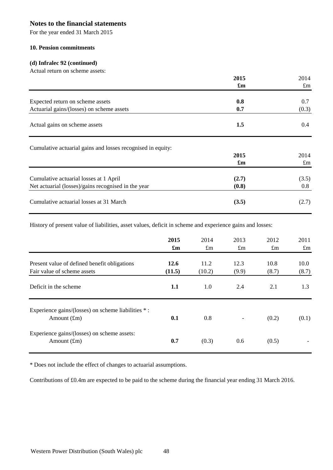For the year ended 31 March 2015

### **10. Pension commitments**

### **(d) Infralec 92 (continued)**

Actual return on scheme assets:

|                                                             | 2015                              | 2014                |
|-------------------------------------------------------------|-----------------------------------|---------------------|
|                                                             | $\mathbf{f}_{\mathbf{m}}$         | $\pounds$ m         |
| Expected return on scheme assets                            | 0.8                               | 0.7                 |
| Actuarial gains/(losses) on scheme assets                   | 0.7                               | (0.3)               |
| Actual gains on scheme assets                               | 1.5                               | $0.4^{\circ}$       |
| Cumulative actuarial gains and losses recognised in equity: |                                   |                     |
|                                                             | 2015<br>$\mathbf{f}_{\mathbf{m}}$ | 2014<br>$\pounds$ m |
| Cumulative actuarial losses at 1 April                      | (2.7)                             | (3.5)               |
| Net actuarial (losses)/gains recognised in the year         | (0.8)                             | 0.8                 |
| Cumulative actuarial losses at 31 March                     | (3.5)                             | (2.7)               |

History of present value of liabilities, asset values, deficit in scheme and experience gains and losses:

|                                                                             | 2015<br>$\mathbf{f}_{\mathbf{m}}$ | 2014<br>$\pounds$ m | 2013<br>$\pounds$ m | 2012<br>$\pounds$ m | 2011<br>$\pounds$ m |
|-----------------------------------------------------------------------------|-----------------------------------|---------------------|---------------------|---------------------|---------------------|
| Present value of defined benefit obligations<br>Fair value of scheme assets | <b>12.6</b><br>(11.5)             | 11.2<br>(10.2)      | 12.3<br>(9.9)       | 10.8<br>(8.7)       | 10.0<br>(8.7)       |
| Deficit in the scheme                                                       | 1.1                               | 1.0                 | 2.4                 | 2.1                 | 1.3                 |
| Experience gains/(losses) on scheme liabilities *:<br>Amount $(f_m)$        | 0.1                               | 0.8                 |                     | (0.2)               | (0.1)               |
| Experience gains/(losses) on scheme assets:<br>Amount $(fm)$                | 0.7                               | (0.3)               | 0.6                 | (0.5)               |                     |

\* Does not include the effect of changes to actuarial assumptions.

Contributions of £0.4m are expected to be paid to the scheme during the financial year ending 31 March 2016.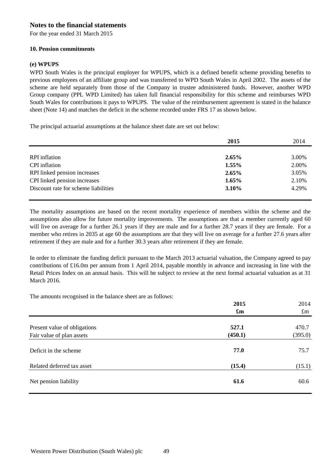For the year ended 31 March 2015

### **10. Pension commitments**

### **(e) WPUPS**

WPD South Wales is the principal employer for WPUPS, which is a defined benefit scheme providing benefits to previous employees of an affiliate group and was transferred to WPD South Wales in April 2002. The assets of the scheme are held separately from those of the Company in trustee administered funds. However, another WPD Group company (PPL WPD Limited) has taken full financial responsibility for this scheme and reimburses WPD South Wales for contributions it pays to WPUPS. The value of the reimbursement agreement is stated in the balance sheet (Note 14) and matches the deficit in the scheme recorded under FRS 17 as shown below.

The principal actuarial assumptions at the balance sheet date are set out below:

|                                      | 2015     | 2014  |
|--------------------------------------|----------|-------|
|                                      |          |       |
| <b>RPI</b> inflation                 | $2.65\%$ | 3.00% |
| <b>CPI</b> inflation                 | $1.55\%$ | 2.00% |
| RPI linked pension increases         | $2.65\%$ | 3.05% |
| CPI linked pension increases         | $1.65\%$ | 2.10% |
| Discount rate for scheme liabilities | 3.10%    | 4.29% |

The mortality assumptions are based on the recent mortality experience of members within the scheme and the assumptions also allow for future mortality improvements. The assumptions are that a member currently aged 60 will live on average for a further 26.1 years if they are male and for a further 28.7 years if they are female. For a member who retires in 2035 at age 60 the assumptions are that they will live on average for a further 27.6 years after retirement if they are male and for a further 30.3 years after retirement if they are female.

In order to eliminate the funding deficit pursuant to the March 2013 actuarial valuation, the Company agreed to pay contributions of £16.0m per annum from 1 April 2014, payable monthly in advance and increasing in line with the Retail Prices Index on an annual basis. This will be subject to review at the next formal actuarial valuation as at 31 March 2016.

The amounts recognised in the balance sheet are as follows:

|                              | 2015                      | 2014        |
|------------------------------|---------------------------|-------------|
|                              | $\mathbf{f}_{\mathbf{m}}$ | $\pounds$ m |
| Present value of obligations | 527.1                     | 470.7       |
| Fair value of plan assets    | (450.1)                   | (395.0)     |
| Deficit in the scheme        | 77.0                      | 75.7        |
| Related deferred tax asset   | (15.4)                    | (15.1)      |
| Net pension liability        | 61.6                      | 60.6        |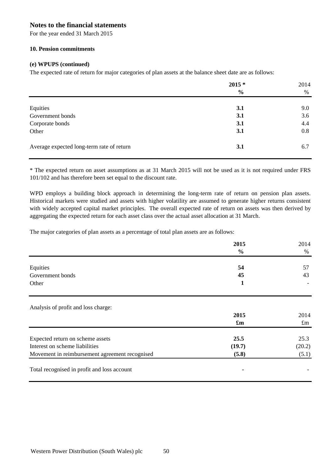For the year ended 31 March 2015

### **10. Pension commitments**

### **(e) WPUPS (continued)**

The expected rate of return for major categories of plan assets at the balance sheet date are as follows:

|                                           | $2015*$       | 2014 |
|-------------------------------------------|---------------|------|
|                                           | $\frac{0}{0}$ | $\%$ |
| Equities                                  | 3.1           | 9.0  |
| Government bonds                          | 3.1           | 3.6  |
| Corporate bonds                           | 3.1           | 4.4  |
| Other                                     | 3.1           | 0.8  |
| Average expected long-term rate of return | 3.1           | 6.7  |

\* The expected return on asset assumptions as at 31 March 2015 will not be used as it is not required under FRS 101/102 and has therefore been set equal to the discount rate.

WPD employs a building block approach in determining the long-term rate of return on pension plan assets. Historical markets were studied and assets with higher volatility are assumed to generate higher returns consistent with widely accepted capital market principles. The overall expected rate of return on assets was then derived by aggregating the expected return for each asset class over the actual asset allocation at 31 March.

The major categories of plan assets as a percentage of total plan assets are as follows:

|                           | 2014               |
|---------------------------|--------------------|
| $\frac{0}{0}$             | $\%$               |
|                           | 57                 |
|                           | 43                 |
| 1                         |                    |
|                           |                    |
| 2015                      | 2014               |
| $\mathbf{f}_{\mathbf{m}}$ | $\pounds$ m        |
| 25.5                      | 25.3               |
|                           | (20.2)             |
| (5.8)                     | (5.1)              |
|                           |                    |
|                           |                    |
|                           | 54<br>45<br>(19.7) |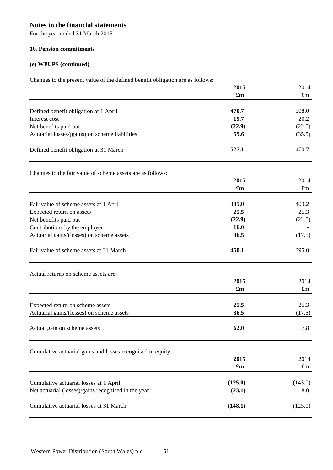For the year ended 31 March 2015

### **10. Pension commitments**

## **(e) WPUPS (continued)**

Changes to the present value of the defined benefit obligation are as follows:

|                                                             | 2015                      | 2014        |
|-------------------------------------------------------------|---------------------------|-------------|
|                                                             | £m                        | $\pounds$ m |
|                                                             |                           |             |
| Defined benefit obligation at 1 April                       | 470.7                     | 508.0       |
| Interest cost                                               | 19.7                      | 20.2        |
| Net benefits paid out                                       | (22.9)                    | (22.0)      |
| Actuarial losses/(gains) on scheme liabilities              | 59.6                      | (35.5)      |
| Defined benefit obligation at 31 March                      | 527.1                     | 470.7       |
| Changes to the fair value of scheme assets are as follows:  |                           |             |
|                                                             | 2015                      | 2014        |
|                                                             | $\mathbf{f}_{\mathbf{m}}$ | $\pounds$ m |
| Fair value of scheme assets at 1 April                      | 395.0                     | 409.2       |
| Expected return on assets                                   | 25.5                      | 25.3        |
| Net benefits paid out                                       | (22.9)                    | (22.0)      |
| Contributions by the employer                               | 16.0                      |             |
|                                                             | 36.5                      |             |
| Actuarial gains/(losses) on scheme assets                   |                           | (17.5)      |
| Fair value of scheme assets at 31 March                     | 450.1                     | 395.0       |
| Actual returns on scheme assets are:                        |                           |             |
|                                                             | 2015                      | 2014        |
|                                                             | $\mathbf{f}_{\mathbf{m}}$ | $\pounds$ m |
| Expected return on scheme assets                            | 25.5                      | 25.3        |
| Actuarial gains/(losses) on scheme assets                   | 36.5                      | (17.5)      |
|                                                             |                           |             |
| Actual gain on scheme assets                                | 62.0                      | 7.8         |
| Cumulative actuarial gains and losses recognised in equity: |                           |             |
|                                                             | 2015                      | 2014        |
|                                                             | $\mathbf{f}_{\mathbf{m}}$ | $\pounds$ m |
|                                                             |                           |             |
| Cumulative actuarial losses at 1 April                      | (125.0)                   | (143.0)     |
| Net actuarial (losses)/gains recognised in the year         | (23.1)                    | 18.0        |
|                                                             |                           |             |
| Cumulative actuarial losses at 31 March                     | (148.1)                   | (125.0)     |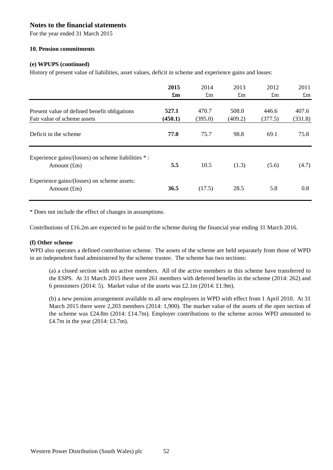For the year ended 31 March 2015

### **10. Pension commitments**

### **(e) WPUPS (continued)**

History of present value of liabilities, asset values, deficit in scheme and experience gains and losses:

|                                                                             | 2015<br>$\mathbf{f}_{\mathbf{m}}$ | 2014<br>$\pounds$ m | 2013<br>$\pounds$ m | 2012<br>$\pounds$ m | 2011<br>$\pounds$ m |
|-----------------------------------------------------------------------------|-----------------------------------|---------------------|---------------------|---------------------|---------------------|
| Present value of defined benefit obligations<br>Fair value of scheme assets | 527.1<br>(450.1)                  | 470.7<br>(395.0)    | 508.0<br>(409.2)    | 446.6<br>(377.5)    | 407.6<br>(331.8)    |
| Deficit in the scheme                                                       | 77.0                              | 75.7                | 98.8                | 69.1                | 75.8                |
| Experience gains/(losses) on scheme liabilities *:<br>Amount $(fm)$         | 5.5                               | 10.5                | (1.3)               | (5.6)               | (4.7)               |
| Experience gains/(losses) on scheme assets:<br>Amount $(fm)$                | 36.5                              | (17.5)              | 28.5                | 5.8                 | 0.8                 |

\* Does not include the effect of changes in assumptions.

Contributions of £16.2m are expected to be paid to the scheme during the financial year ending 31 March 2016.

### **(f) Other scheme**

WPD also operates a defined contribution scheme. The assets of the scheme are held separately from those of WPD in an independent fund administered by the scheme trustee. The scheme has two sections:

(a) a closed section with no active members. All of the active members in this scheme have transferred to the ESPS. At 31 March 2015 there were 261 members with deferred benefits in the scheme (2014: 262) and 6 pensioners (2014: 5). Market value of the assets was £2.1m (2014: £1.9m).

(b) a new pension arrangement available to all new employees in WPD with effect from 1 April 2010. At 31 March 2015 there were 2,203 members (2014: 1,900). The market value of the assets of the open section of the scheme was £24.8m (2014: £14.7m). Employer contributions to the scheme across WPD amounted to £4.7m in the year (2014: £3.7m).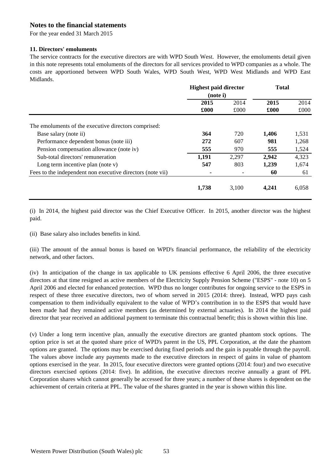For the year ended 31 March 2015

### **11. Directors' emoluments**

The service contracts for the executive directors are with WPD South West. However, the emoluments detail given in this note represents total emoluments of the directors for all services provided to WPD companies as a whole. The costs are apportioned between WPD South Wales, WPD South West, WPD West Midlands and WPD East Midlands.

|                                                            |                    | <b>Highest paid director</b><br>(note i) |                    | <b>Total</b> |
|------------------------------------------------------------|--------------------|------------------------------------------|--------------------|--------------|
|                                                            | 2015               | 2014                                     | 2015               | 2014         |
|                                                            | $\pmb{\pounds}000$ | £000                                     | $\pmb{\pounds}000$ | £000         |
| The emoluments of the executive directors comprised:       |                    |                                          |                    |              |
| Base salary (note ii)                                      | 364                | 720                                      | 1,406              | 1,531        |
| Performance dependent bonus (note iii)                     | 272                | 607                                      | 981                | 1,268        |
| Pension compensation allowance (note iv)                   | 555                | 970                                      | 555                | 1,524        |
| Sub-total directors' remuneration                          | 1,191              | 2,297                                    | 2,942              | 4,323        |
| Long term incentive plan (note v)                          | 547                | 803                                      | 1,239              | 1,674        |
| Fees to the independent non executive directors (note vii) |                    |                                          | 60                 | 61           |
|                                                            | 1,738              | 3,100                                    | 4,241              | 6,058        |

(i) In 2014, the highest paid director was the Chief Executive Officer. In 2015, another director was the highest paid.

(ii) Base salary also includes benefits in kind.

(iii) The amount of the annual bonus is based on WPD's financial performance, the reliability of the electricity network, and other factors.

(iv) In anticipation of the change in tax applicable to UK pensions effective 6 April 2006, the three executive directors at that time resigned as active members of the Electricity Supply Pension Scheme ("ESPS" - note 10) on 5 April 2006 and elected for enhanced protection. WPD thus no longer contributes for ongoing service to the ESPS in respect of these three executive directors, two of whom served in 2015 (2014: three). Instead, WPD pays cash compensation to them individually equivalent to the value of WPD's contribution in to the ESPS that would have been made had they remained active members (as determined by external actuaries). In 2014 the highest paid director that year received an additional payment to terminate this contractual benefit; this is shown within this line.

(v) Under a long term incentive plan, annually the executive directors are granted phantom stock options. The option price is set at the quoted share price of WPD's parent in the US, PPL Corporation, at the date the phantom options are granted. The options may be exercised during fixed periods and the gain is payable through the payroll. The values above include any payments made to the executive directors in respect of gains in value of phantom options exercised in the year. In 2015, four executive directors were granted options (2014: four) and two executive directors exercised options (2014: five). In addition, the executive directors receive annually a grant of PPL Corporation shares which cannot generally be accessed for three years; a number of these shares is dependent on the achievement of certain criteria at PPL. The value of the shares granted in the year is shown within this line.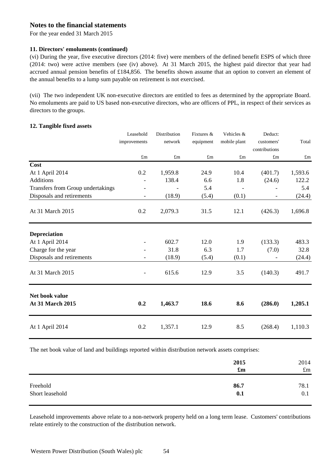For the year ended 31 March 2015

### **11. Directors' emoluments (continued)**

(vi) During the year, five executive directors (2014: five) were members of the defined benefit ESPS of which three (2014: two) were active members (see (iv) above). At 31 March 2015, the highest paid director that year had accrued annual pension benefits of £184,856. The benefits shown assume that an option to convert an element of the annual benefits to a lump sum payable on retirement is not exercised.

(vii) The two independent UK non-executive directors are entitled to fees as determined by the appropriate Board. No emoluments are paid to US based non-executive directors, who are officers of PPL, in respect of their services as directors to the groups.

|                                   | Leasehold<br>improvements | Distribution<br>network | Fixtures &<br>equipment | Vehicles &<br>mobile plant | Deduct:<br>customers'<br>contributions | Total       |
|-----------------------------------|---------------------------|-------------------------|-------------------------|----------------------------|----------------------------------------|-------------|
|                                   | $\pounds$ m               | $\pounds$ m             | $\pounds$ m             | $\pounds$ m                | $\pounds$ m                            | $\pounds$ m |
| Cost                              |                           |                         |                         |                            |                                        |             |
| At 1 April 2014                   | 0.2                       | 1,959.8                 | 24.9                    | 10.4                       | (401.7)                                | 1,593.6     |
| <b>Additions</b>                  |                           | 138.4                   | 6.6                     | 1.8                        | (24.6)                                 | 122.2       |
| Transfers from Group undertakings |                           |                         | 5.4                     |                            |                                        | 5.4         |
| Disposals and retirements         | $\overline{\phantom{a}}$  | (18.9)                  | (5.4)                   | (0.1)                      | $\overline{\phantom{a}}$               | (24.4)      |
| At 31 March 2015                  | 0.2                       | 2,079.3                 | 31.5                    | 12.1                       | (426.3)                                | 1,696.8     |
| <b>Depreciation</b>               |                           |                         |                         |                            |                                        |             |
| At 1 April 2014                   |                           | 602.7                   | 12.0                    | 1.9                        | (133.3)                                | 483.3       |
| Charge for the year               |                           | 31.8                    | 6.3                     | 1.7                        | (7.0)                                  | 32.8        |
| Disposals and retirements         |                           | (18.9)                  | (5.4)                   | (0.1)                      |                                        | (24.4)      |
| At 31 March 2015                  |                           | 615.6                   | 12.9                    | 3.5                        | (140.3)                                | 491.7       |
| Net book value                    |                           |                         |                         |                            |                                        |             |
| <b>At 31 March 2015</b>           | 0.2                       | 1,463.7                 | 18.6                    | 8.6                        | (286.0)                                | 1,205.1     |
| At 1 April 2014                   | 0.2                       | 1,357.1                 | 12.9                    | 8.5                        | (268.4)                                | 1,110.3     |

#### **12. Tangible fixed assets**

The net book value of land and buildings reported within distribution network assets comprises:

|                             | 2015<br>$\mathbf{f}_{\mathbf{m}}$ | 2014<br>$\pounds$ m |
|-----------------------------|-----------------------------------|---------------------|
| Freehold<br>Short leasehold | 86.7<br>0.1                       | 78.1<br>0.1         |
|                             |                                   |                     |

Leasehold improvements above relate to a non-network property held on a long term lease. Customers' contributions relate entirely to the construction of the distribution network.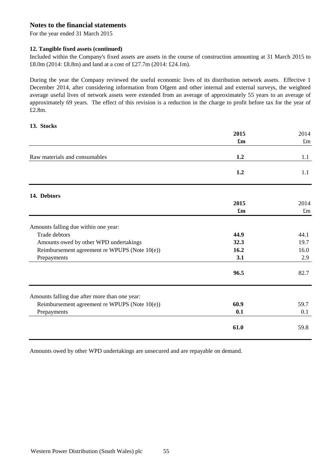For the year ended 31 March 2015

### **12. Tangible fixed assets (continued)**

Included within the Company's fixed assets are assets in the course of construction amounting at 31 March 2015 to £8.0m (2014: £8.8m) and land at a cost of £27.7m (2014: £24.1m).

During the year the Company reviewed the useful economic lives of its distribution network assets. Effective 1 December 2014, after considering information from Ofgem and other internal and external surveys, the weighted average useful lives of network assets were extended from an average of approximately 55 years to an average of approximately 69 years. The effect of this revision is a reduction in the charge to profit before tax for the year of £2.8m.

### **13. Stocks**

|                                               | 2015                      | 2014        |
|-----------------------------------------------|---------------------------|-------------|
|                                               | £m                        | $\pounds$ m |
| Raw materials and consumables                 | 1.2                       | 1.1         |
|                                               | 1.2                       | 1.1         |
| 14. Debtors                                   |                           |             |
|                                               | 2015                      | 2014        |
|                                               | $\mathbf{f}_{\mathbf{m}}$ | $\pounds$ m |
| Amounts falling due within one year:          |                           |             |
| Trade debtors                                 | 44.9                      | 44.1        |
| Amounts owed by other WPD undertakings        | 32.3                      | 19.7        |
| Reimbursement agreement re WPUPS (Note 10(e)) | 16.2                      | 16.0        |
| Prepayments                                   | 3.1                       | 2.9         |
|                                               | 96.5                      | 82.7        |
| Amounts falling due after more than one year: |                           |             |
| Reimbursement agreement re WPUPS (Note 10(e)) | 60.9                      | 59.7        |
| Prepayments                                   | 0.1                       | 0.1         |
|                                               | 61.0                      | 59.8        |

Amounts owed by other WPD undertakings are unsecured and are repayable on demand.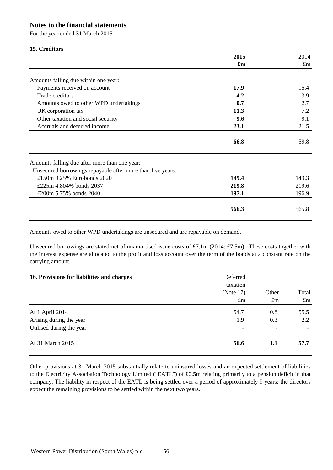For the year ended 31 March 2015

### **15. Creditors**

|                                                            | 2015                      | 2014        |
|------------------------------------------------------------|---------------------------|-------------|
|                                                            | $\mathbf{f}_{\mathbf{m}}$ | $\pounds$ m |
| Amounts falling due within one year:                       |                           |             |
| Payments received on account                               | 17.9                      | 15.4        |
| Trade creditors                                            | 4.2                       | 3.9         |
| Amounts owed to other WPD undertakings                     | 0.7                       | 2.7         |
| UK corporation tax                                         | 11.3                      | 7.2         |
| Other taxation and social security                         | 9.6                       | 9.1         |
| Accruals and deferred income                               | 23.1                      | 21.5        |
|                                                            | 66.8                      | 59.8        |
| Amounts falling due after more than one year:              |                           |             |
| Unsecured borrowings repayable after more than five years: |                           |             |
| £150m 9.25% Eurobonds 2020                                 | 149.4                     | 149.3       |
| £225m 4.804% bonds 2037                                    | 219.8                     | 219.6       |
| £200m 5.75% bonds 2040                                     | 197.1                     | 196.9       |
|                                                            | 566.3                     | 565.8       |

Amounts owed to other WPD undertakings are unsecured and are repayable on demand.

Unsecured borrowings are stated net of unamortised issue costs of £7.1m (2014: £7.5m). These costs together with the interest expense are allocated to the profit and loss account over the term of the bonds at a constant rate on the carrying amount.

| 16. Provisions for liabilities and charges | Deferred<br>taxation<br>(Note 17) | Other       | Total         |
|--------------------------------------------|-----------------------------------|-------------|---------------|
|                                            | $\pounds$ m                       | $\pounds$ m | $\pounds$ m   |
| At 1 April 2014                            | 54.7                              | 0.8         | 55.5          |
| Arising during the year                    | 1.9                               | 0.3         | $2.2^{\circ}$ |
| Utilised during the year                   |                                   |             |               |
| At 31 March 2015                           | 56.6                              | 1.1         | 57.7          |

Other provisions at 31 March 2015 substantially relate to uninsured losses and an expected settlement of liabilities to the Electricity Association Technology Limited ("EATL") of £0.5m relating primarily to a pension deficit in that company. The liability in respect of the EATL is being settled over a period of approximately 9 years; the directors expect the remaining provisions to be settled within the next two years.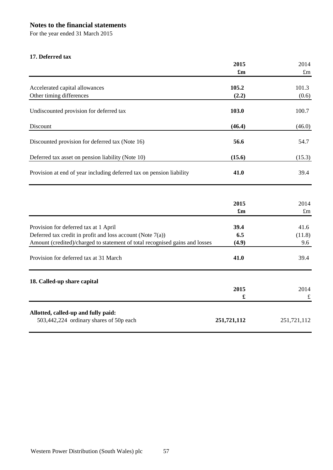For the year ended 31 March 2015

## **17. Deferred tax**

|                                                                                | 2015                      | 2014                |
|--------------------------------------------------------------------------------|---------------------------|---------------------|
|                                                                                | $\mathbf{f}_{\mathbf{m}}$ | $\pounds$ m         |
| Accelerated capital allowances                                                 | 105.2                     | 101.3               |
|                                                                                |                           |                     |
| Other timing differences                                                       | (2.2)                     | (0.6)               |
| Undiscounted provision for deferred tax                                        | 103.0                     | 100.7               |
| Discount                                                                       | (46.4)                    | (46.0)              |
| Discounted provision for deferred tax (Note 16)                                | 56.6                      | 54.7                |
| Deferred tax asset on pension liability (Note 10)                              | (15.6)                    | (15.3)              |
| Provision at end of year including deferred tax on pension liability           | 41.0                      | 39.4                |
|                                                                                | 2015<br>£m                | 2014<br>$\pounds$ m |
|                                                                                |                           |                     |
| Provision for deferred tax at 1 April                                          | 39.4                      | 41.6                |
| Deferred tax credit in profit and loss account (Note $7(a)$ )                  | 6.5                       | (11.8)              |
| Amount (credited)/charged to statement of total recognised gains and losses    | (4.9)                     | 9.6                 |
| Provision for deferred tax at 31 March                                         | 41.0                      | 39.4                |
| 18. Called-up share capital                                                    |                           |                     |
|                                                                                | 2015                      | 2014                |
|                                                                                | £                         | $\pounds$           |
|                                                                                |                           |                     |
| Allotted, called-up and fully paid:<br>503,442,224 ordinary shares of 50p each | 251,721,112               | 251,721,112         |
|                                                                                |                           |                     |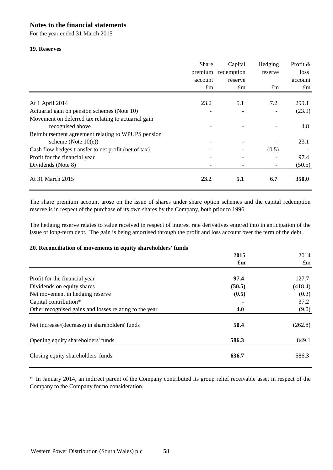For the year ended 31 March 2015

### **19. Reserves**

|                                                      | <b>Share</b> | Capital                  | Hedging     | Profit &    |
|------------------------------------------------------|--------------|--------------------------|-------------|-------------|
|                                                      |              | premium redemption       | reserve     | loss        |
|                                                      | account      | reserve                  |             | account     |
|                                                      | $\pounds$ m  | $\pounds$ m              | $\pounds$ m | $\pounds$ m |
| At 1 April 2014                                      | 23.2         | 5.1                      | 7.2         | 299.1       |
| Actuarial gain on pension schemes (Note 10)          |              |                          |             | (23.9)      |
| Movement on deferred tax relating to actuarial gain  |              |                          |             |             |
| recognised above                                     |              |                          |             | 4.8         |
| Reimbursement agreement relating to WPUPS pension    |              |                          |             |             |
| scheme (Note $10(e)$ )                               |              | $\overline{\phantom{0}}$ |             | 23.1        |
| Cash flow hedges transfer to net profit (net of tax) |              |                          | (0.5)       |             |
| Profit for the financial year                        |              |                          |             | 97.4        |
| Dividends (Note 8)                                   |              |                          |             | (50.5)      |
| At 31 March 2015                                     | 23.2         | 5.1                      | 6.7         | 350.0       |

The share premium account arose on the issue of shares under share option schemes and the capital redemption reserve is in respect of the purchase of its own shares by the Company, both prior to 1996.

The hedging reserve relates to value received in respect of interest rate derivatives entered into in anticipation of the issue of long-term debt. The gain is being amortised through the profit and loss account over the term of the debt.

### **20. Reconciliation of movements in equity shareholders' funds**

|                                                        | 2015                      | 2014        |
|--------------------------------------------------------|---------------------------|-------------|
|                                                        | $\mathbf{f}_{\mathbf{m}}$ | $\pounds$ m |
|                                                        |                           |             |
| Profit for the financial year                          | 97.4                      | 127.7       |
| Dividends on equity shares                             | (50.5)                    | (418.4)     |
| Net movement in hedging reserve                        | (0.5)                     | (0.3)       |
| Capital contribution*                                  |                           | 37.2        |
| Other recognised gains and losses relating to the year | 4.0                       | (9.0)       |
| Net increase/(decrease) in shareholders' funds         | 50.4                      | (262.8)     |
| Opening equity shareholders' funds                     | 586.3                     | 849.1       |
| Closing equity shareholders' funds                     | 636.7                     | 586.3       |

\* In January 2014, an indirect parent of the Company contributed its group relief receivable asset in respect of the Company to the Company for no consideration.